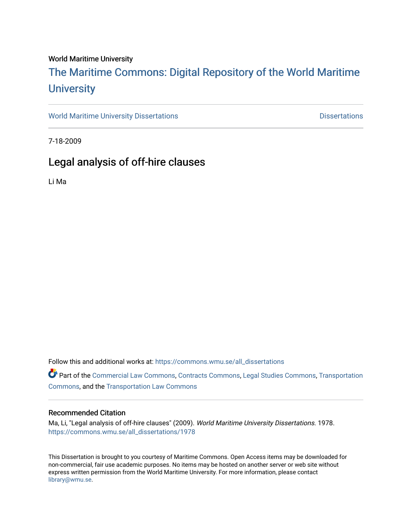#### World Maritime University

# [The Maritime Commons: Digital Repository of the World Maritime](https://commons.wmu.se/)  **University**

[World Maritime University Dissertations](https://commons.wmu.se/all_dissertations) **Example 20 and Taylor 10 and Taylor** Dissertations

7-18-2009

# Legal analysis of off-hire clauses

Li Ma

Follow this and additional works at: [https://commons.wmu.se/all\\_dissertations](https://commons.wmu.se/all_dissertations?utm_source=commons.wmu.se%2Fall_dissertations%2F1978&utm_medium=PDF&utm_campaign=PDFCoverPages) 

Part of the [Commercial Law Commons](http://network.bepress.com/hgg/discipline/586?utm_source=commons.wmu.se%2Fall_dissertations%2F1978&utm_medium=PDF&utm_campaign=PDFCoverPages), [Contracts Commons,](http://network.bepress.com/hgg/discipline/591?utm_source=commons.wmu.se%2Fall_dissertations%2F1978&utm_medium=PDF&utm_campaign=PDFCoverPages) [Legal Studies Commons,](http://network.bepress.com/hgg/discipline/366?utm_source=commons.wmu.se%2Fall_dissertations%2F1978&utm_medium=PDF&utm_campaign=PDFCoverPages) [Transportation](http://network.bepress.com/hgg/discipline/1068?utm_source=commons.wmu.se%2Fall_dissertations%2F1978&utm_medium=PDF&utm_campaign=PDFCoverPages)  [Commons](http://network.bepress.com/hgg/discipline/1068?utm_source=commons.wmu.se%2Fall_dissertations%2F1978&utm_medium=PDF&utm_campaign=PDFCoverPages), and the [Transportation Law Commons](http://network.bepress.com/hgg/discipline/885?utm_source=commons.wmu.se%2Fall_dissertations%2F1978&utm_medium=PDF&utm_campaign=PDFCoverPages) 

#### Recommended Citation

Ma, Li, "Legal analysis of off-hire clauses" (2009). World Maritime University Dissertations. 1978. [https://commons.wmu.se/all\\_dissertations/1978](https://commons.wmu.se/all_dissertations/1978?utm_source=commons.wmu.se%2Fall_dissertations%2F1978&utm_medium=PDF&utm_campaign=PDFCoverPages)

This Dissertation is brought to you courtesy of Maritime Commons. Open Access items may be downloaded for non-commercial, fair use academic purposes. No items may be hosted on another server or web site without express written permission from the World Maritime University. For more information, please contact [library@wmu.se](mailto:library@wmu.edu).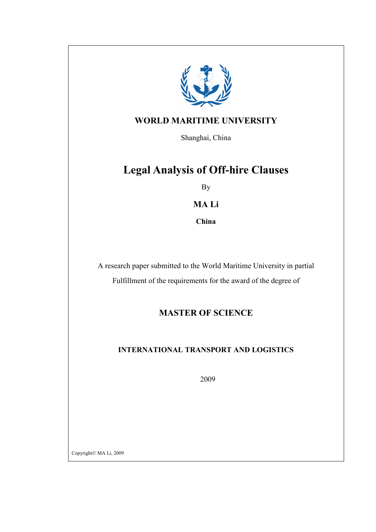

# WORLD MARITIME UNIVERSITY

Shanghai, China

# Legal Analysis of Off-hire Clauses

By

## MA Li

China

A research paper submitted to the World Maritime University in partial

Fulfillment of the requirements for the award of the degree of

# MASTER OF SCIENCE

# INTERNATIONAL TRANSPORT AND LOGISTICS

2009

Copyright© MA Li, 2009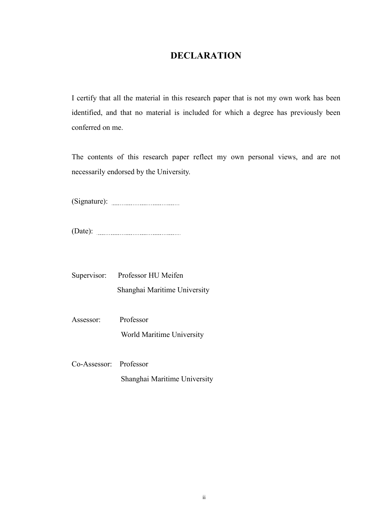# DECLARATION

I certify that all the material in this research paper that is not my own work has been identified, and that no material is included for which a degree has previously been conferred on me.

The contents of this research paper reflect my own personal views, and are not necessarily endorsed by the University.

(Signature):

(Date):

Supervisor: Professor HU Meifen Shanghai Maritime University

Assessor: Professor World Maritime University

Co-Assessor: Professor Shanghai Maritime University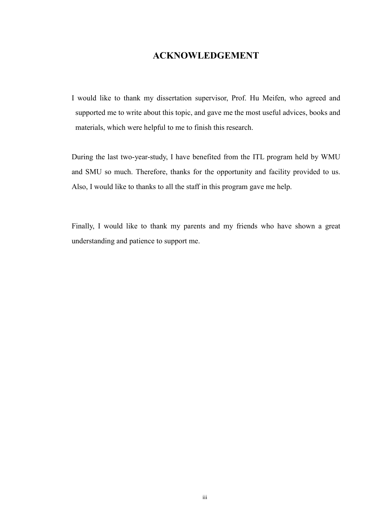## ACKNOWLEDGEMENT

I would like to thank my dissertation supervisor, Prof. Hu Meifen, who agreed and supported me to write about this topic, and gave me the most useful advices, books and materials, which were helpful to me to finish this research.

During the last two-year-study, I have benefited from the ITL program held by WMU and SMU so much. Therefore, thanks for the opportunity and facility provided to us. Also, I would like to thanks to all the staff in this program gave me help.

Finally, I would like to thank my parents and my friends who have shown a great understanding and patience to support me.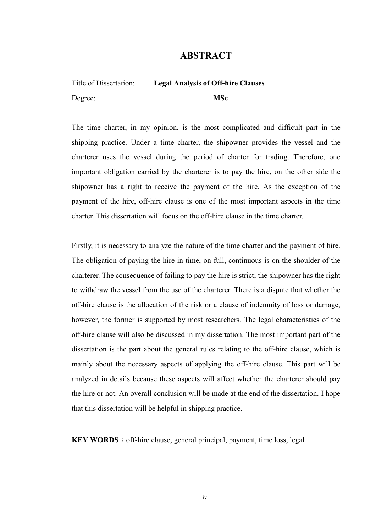## ABSTRACT

# Title of Dissertation: Legal Analysis of Off-hire Clauses Degree: MSc

The time charter, in my opinion, is the most complicated and difficult part in the shipping practice. Under a time charter, the shipowner provides the vessel and the charterer uses the vessel during the period of charter for trading. Therefore, one important obligation carried by the charterer is to pay the hire, on the other side the shipowner has a right to receive the payment of the hire. As the exception of the payment of the hire, off-hire clause is one of the most important aspects in the time charter. This dissertation will focus on the off-hire clause in the time charter.

Firstly, it is necessary to analyze the nature of the time charter and the payment of hire. The obligation of paying the hire in time, on full, continuous is on the shoulder of the charterer. The consequence of failing to pay the hire is strict; the shipowner has the right to withdraw the vessel from the use of the charterer. There is a dispute that whether the off-hire clause is the allocation of the risk or a clause of indemnity of loss or damage, however, the former is supported by most researchers. The legal characteristics of the off-hire clause will also be discussed in my dissertation. The most important part of the dissertation is the part about the general rules relating to the off-hire clause, which is mainly about the necessary aspects of applying the off-hire clause. This part will be analyzed in details because these aspects will affect whether the charterer should pay the hire or not. An overall conclusion will be made at the end of the dissertation. I hope that this dissertation will be helpful in shipping practice.

 $KEY WORDS:$  off-hire clause, general principal, payment, time loss, legal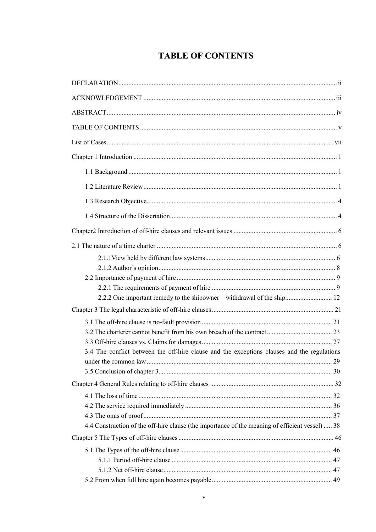# **TABLE OF CONTENTS**

| 2.2.2 One important remedy to the shipowner – withdrawal of the ship 12                         |  |
|-------------------------------------------------------------------------------------------------|--|
|                                                                                                 |  |
|                                                                                                 |  |
|                                                                                                 |  |
|                                                                                                 |  |
| 3.4 The conflict between the off-hire clause and the exceptions clauses and the regulations     |  |
|                                                                                                 |  |
|                                                                                                 |  |
|                                                                                                 |  |
|                                                                                                 |  |
|                                                                                                 |  |
|                                                                                                 |  |
| 4.4 Construction of the off-hire clause (the importance of the meaning of efficient vessel)  38 |  |
|                                                                                                 |  |
|                                                                                                 |  |
|                                                                                                 |  |
|                                                                                                 |  |
|                                                                                                 |  |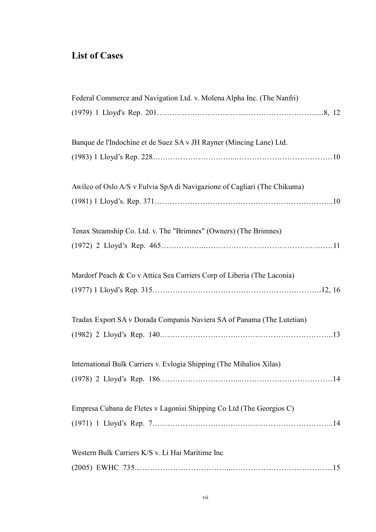# List of Cases

| Federal Commerce and Navigation Ltd. v. Molena Alpha Inc. (The Nanfri)   |
|--------------------------------------------------------------------------|
|                                                                          |
|                                                                          |
| Banque de l'Indochine et de Suez SA v JH Rayner (Mincing Lane) Ltd.      |
|                                                                          |
|                                                                          |
| Awilco of Oslo A/S v Fulvia SpA di Navigazione of Cagliari (The Chikuma) |
|                                                                          |
|                                                                          |
| Tenax Steamship Co. Ltd. v. The "Brimnes" (Owners) (The Brimnes)         |
|                                                                          |
|                                                                          |
| Mardorf Peach & Co v Attica Sea Carriers Corp of Liberia (The Laconia)   |
|                                                                          |
| Tradax Export SA v Dorada Compania Naviera SA of Panama (The Lutetian)   |
|                                                                          |
|                                                                          |
| International Bulk Carriers v. Evlogia Shipping (The Mihalios Xilas)     |
|                                                                          |
|                                                                          |
| Empresa Cubana de Fletes v Lagonisi Shipping Co Ltd (The Georgios C)     |
|                                                                          |
|                                                                          |
| Western Bulk Carriers K/S v. Li Hai Maritime Inc                         |
|                                                                          |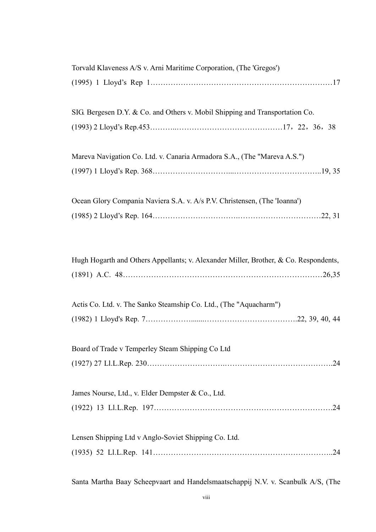| Torvald Klaveness A/S v. Arni Maritime Corporation, (The 'Gregos')                   |
|--------------------------------------------------------------------------------------|
|                                                                                      |
|                                                                                      |
| SIG. Bergesen D.Y. & Co. and Others v. Mobil Shipping and Transportation Co.         |
|                                                                                      |
|                                                                                      |
| Mareva Navigation Co. Ltd. v. Canaria Armadora S.A., (The "Mareva A.S.")             |
|                                                                                      |
|                                                                                      |
| Ocean Glory Compania Naviera S.A. v. A/s P.V. Christensen, (The 'Ioanna')            |
|                                                                                      |
|                                                                                      |
|                                                                                      |
| Hugh Hogarth and Others Appellants; v. Alexander Miller, Brother, & Co. Respondents, |
|                                                                                      |
|                                                                                      |
| Actis Co. Ltd. v. The Sanko Steamship Co. Ltd., (The "Aquacharm")                    |
|                                                                                      |
|                                                                                      |
| Board of Trade v Temperley Steam Shipping Co Ltd                                     |
|                                                                                      |
|                                                                                      |
| James Nourse, Ltd., v. Elder Dempster & Co., Ltd.                                    |
|                                                                                      |
|                                                                                      |
|                                                                                      |
| Lensen Shipping Ltd v Anglo-Soviet Shipping Co. Ltd.                                 |
|                                                                                      |

Santa Martha Baay Scheepvaart and Handelsmaatschappij N.V. v. Scanbulk A/S, (The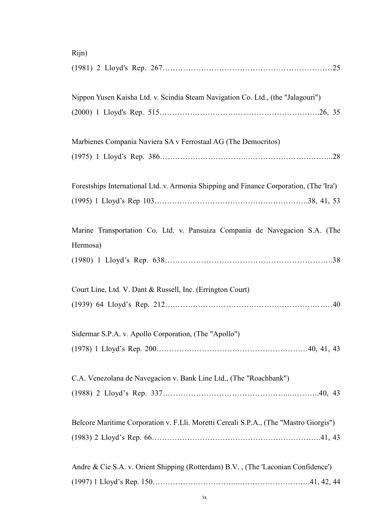| Rijn)                                                                                   |
|-----------------------------------------------------------------------------------------|
|                                                                                         |
| Nippon Yusen Kaisha Ltd. v. Scindia Steam Navigation Co. Ltd., (the "Jalagouri")        |
|                                                                                         |
| Marbienes Compania Naviera SA v Ferrostaal AG (The Democritos)                          |
|                                                                                         |
| Forestships International Ltd. v. Armonia Shipping and Finance Corporation, (The 'Ira') |
|                                                                                         |
| Marine Transportation Co. Ltd. v. Pansuiza Compania de Navegacion S.A. (The             |
| Hermosa)                                                                                |
|                                                                                         |
| Court Line, Ltd. V. Dant & Russell, Inc. (Errington Court)                              |
|                                                                                         |
| Sidermar S.P.A. v. Apollo Corporation, (The "Apollo")                                   |
|                                                                                         |
| C.A. Venezolana de Navegacion v. Bank Line Ltd., (The "Roachbank")                      |
|                                                                                         |
| Belcore Maritime Corporation v. F.Lli. Moretti Cereali S.P.A., (The "Mastro Giorgis")   |
|                                                                                         |
| Andre & Cie S.A. v. Orient Shipping (Rotterdam) B.V., (The 'Laconian Confidence')       |
|                                                                                         |

## ix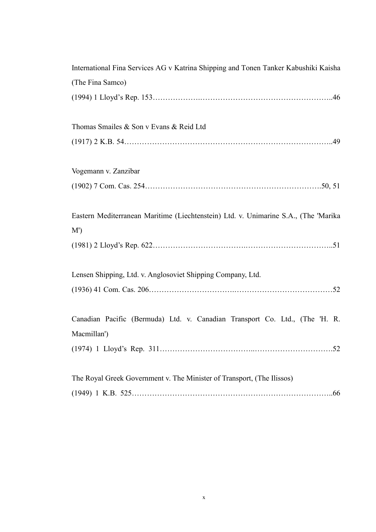| International Fina Services AG v Katrina Shipping and Tonen Tanker Kabushiki Kaisha        |
|--------------------------------------------------------------------------------------------|
| (The Fina Samco)                                                                           |
|                                                                                            |
| Thomas Smailes & Son v Evans & Reid Ltd                                                    |
|                                                                                            |
| Vogemann v. Zanzibar                                                                       |
|                                                                                            |
| Eastern Mediterranean Maritime (Liechtenstein) Ltd. v. Unimarine S.A., (The 'Marika        |
| M'                                                                                         |
| Lensen Shipping, Ltd. v. Anglosoviet Shipping Company, Ltd.                                |
|                                                                                            |
| Canadian Pacific (Bermuda) Ltd. v. Canadian Transport Co. Ltd., (The 'H. R.<br>Macmillan') |
|                                                                                            |
| The Royal Greek Government v. The Minister of Transport, (The Ilissos)                     |
|                                                                                            |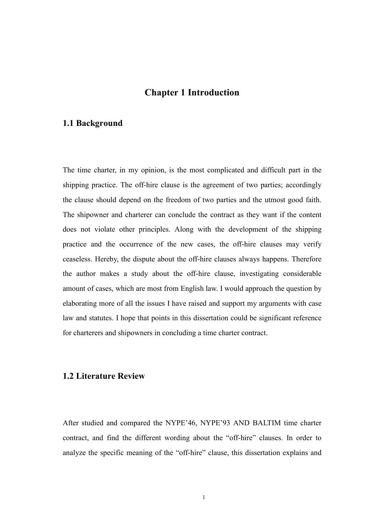## Chapter 1 Introduction

### 1.1 Background

The time charter, in my opinion, is the most complicated and difficult part in the shipping practice. The off-hire clause is the agreement of two parties; accordingly the clause should depend on the freedom of two parties and the utmost good faith. The shipowner and charterer can conclude the contract as they want if the content does not violate other principles. Along with the development of the shipping practice and the occurrence of the new cases, the off-hire clauses may verify ceaseless. Hereby, the dispute about the off-hire clauses always happens. Therefore the author makes a study about the off-hire clause, investigating considerable amount of cases, which are most from English law. I would approach the question by elaborating more of all the issues I have raised and support my arguments with case law and statutes. I hope that points in this dissertation could be significant reference for charterers and shipowners in concluding a time charter contract.

### 1.2 Literature Review

After studied and compared the NYPE'46, NYPE'93 AND BALTIM time charter contract, and find the different wording about the "off-hire" clauses. In order to analyze the specific meaning of the "off-hire" clause, this dissertation explains and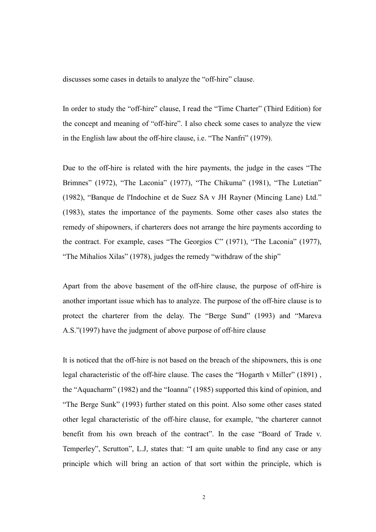discusses some cases in details to analyze the "off-hire" clause.

In order to study the "off-hire" clause, I read the "Time Charter" (Third Edition) for the concept and meaning of "off-hire". I also check some cases to analyze the view in the English law about the off-hire clause, i.e. "The Nanfri" (1979).

Due to the off-hire is related with the hire payments, the judge in the cases "The Brimnes" (1972), "The Laconia" (1977), "The Chikuma" (1981), "The Lutetian" (1982), "Banque de l'Indochine et de Suez SA v JH Rayner (Mincing Lane) Ltd." (1983), states the importance of the payments. Some other cases also states the remedy of shipowners, if charterers does not arrange the hire payments according to the contract. For example, cases "The Georgios C" (1971), "The Laconia" (1977), "The Mihalios Xilas" (1978), judges the remedy "withdraw of the ship"

Apart from the above basement of the off-hire clause, the purpose of off-hire is another important issue which has to analyze. The purpose of the off-hire clause is to protect the charterer from the delay. The "Berge Sund" (1993) and "Mareva A.S."(1997) have the judgment of above purpose of off-hire clause

It is noticed that the off-hire is not based on the breach of the shipowners, this is one legal characteristic of the off-hire clause. The cases the "Hogarth v Miller" (1891) , the "Aquacharm" (1982) and the "Ioanna" (1985) supported this kind of opinion, and "The Berge Sunk" (1993) further stated on this point. Also some other cases stated other legal characteristic of the off-hire clause, for example, "the charterer cannot benefit from his own breach of the contract". In the case "Board of Trade v. Temperley", Scrutton", L.J, states that: "I am quite unable to find any case or any principle which will bring an action of that sort within the principle, which is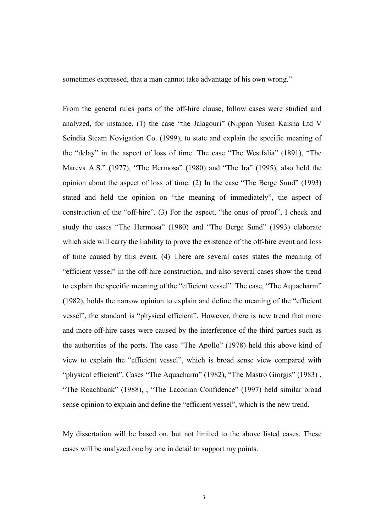sometimes expressed, that a man cannot take advantage of his own wrong."

From the general rules parts of the off-hire clause, follow cases were studied and analyzed, for instance, (1) the case "the Jalagouri" (Nippon Yusen Kaisha Ltd V Scindia Steam Novigation Co. (1999), to state and explain the specific meaning of the "delay" in the aspect of loss of time. The case "The Westfalia" (1891), "The Mareva A.S." (1977), "The Hermosa" (1980) and "The Ira" (1995), also held the opinion about the aspect of loss of time. (2) In the case "The Berge Sund" (1993) stated and held the opinion on "the meaning of immediately", the aspect of construction of the "off-hire". (3) For the aspect, "the onus of proof", I check and study the cases "The Hermosa" (1980) and "The Berge Sund" (1993) elaborate which side will carry the liability to prove the existence of the off-hire event and loss of time caused by this event. (4) There are several cases states the meaning of "efficient vessel" in the off-hire construction, and also several cases show the trend to explain the specific meaning of the "efficient vessel". The case, "The Aquacharm" (1982), holds the narrow opinion to explain and define the meaning of the "efficient vessel", the standard is "physical efficient". However, there is new trend that more and more off-hire cases were caused by the interference of the third parties such as the authorities of the ports. The case "The Apollo" (1978) held this above kind of view to explain the "efficient vessel", which is broad sense view compared with "physical efficient". Cases "The Aquacharm" (1982), "The Mastro Giorgis" (1983), "The Roachbank" (1988), , "The Laconian Confidence" (1997) held similar broad sense opinion to explain and define the "efficient vessel", which is the new trend.

My dissertation will be based on, but not limited to the above listed cases. These cases will be analyzed one by one in detail to support my points.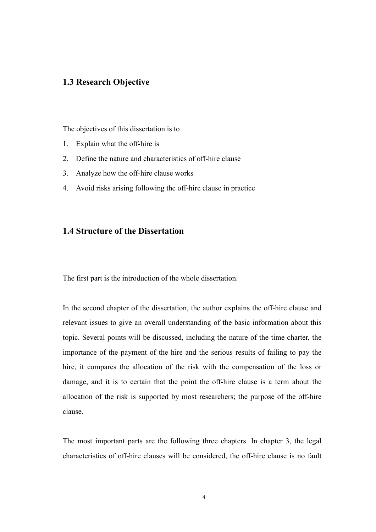## 1.3 Research Objective

The objectives of this dissertation is to

- 1. Explain what the off-hire is
- 2. Define the nature and characteristics of off-hire clause
- 3. Analyze how the off-hire clause works
- 4. Avoid risks arising following the off-hire clause in practice

### 1.4 Structure of the Dissertation

The first part is the introduction of the whole dissertation.

In the second chapter of the dissertation, the author explains the off-hire clause and relevant issues to give an overall understanding of the basic information about this topic. Several points will be discussed, including the nature of the time charter, the importance of the payment of the hire and the serious results of failing to pay the hire, it compares the allocation of the risk with the compensation of the loss or damage, and it is to certain that the point the off-hire clause is a term about the allocation of the risk is supported by most researchers; the purpose of the off-hire clause.

The most important parts are the following three chapters. In chapter 3, the legal characteristics of off-hire clauses will be considered, the off-hire clause is no fault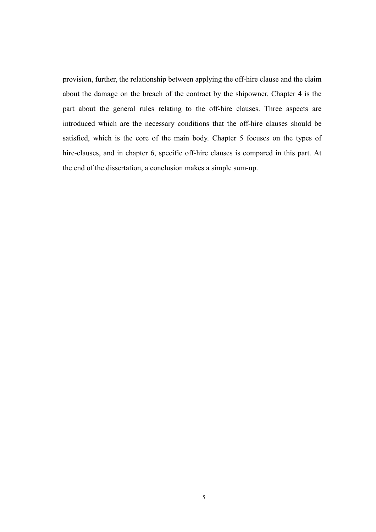provision, further, the relationship between applying the off-hire clause and the claim about the damage on the breach of the contract by the shipowner. Chapter 4 is the part about the general rules relating to the off-hire clauses. Three aspects are introduced which are the necessary conditions that the off-hire clauses should be satisfied, which is the core of the main body. Chapter 5 focuses on the types of hire-clauses, and in chapter 6, specific off-hire clauses is compared in this part. At the end of the dissertation, a conclusion makes a simple sum-up.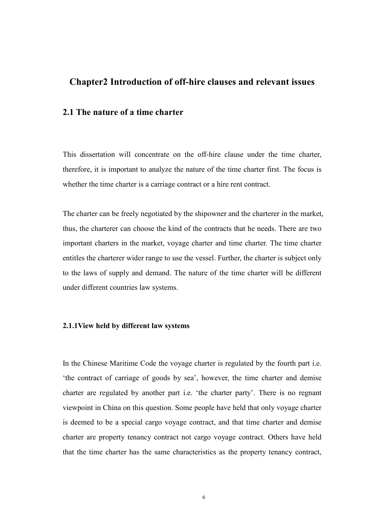## Chapter2 Introduction of off-hire clauses and relevant issues

### 2.1 The nature of a time charter

This dissertation will concentrate on the off-hire clause under the time charter, therefore, it is important to analyze the nature of the time charter first. The focus is whether the time charter is a carriage contract or a hire rent contract.

The charter can be freely negotiated by the shipowner and the charterer in the market, thus, the charterer can choose the kind of the contracts that he needs. There are two important charters in the market, voyage charter and time charter. The time charter entitles the charterer wider range to use the vessel. Further, the charter is subject only to the laws of supply and demand. The nature of the time charter will be different under different countries law systems.

#### 2.1.1View held by different law systems

In the Chinese Maritime Code the voyage charter is regulated by the fourth part i.e. 'the contract of carriage of goods by sea', however, the time charter and demise charter are regulated by another part i.e. 'the charter party'. There is no regnant viewpoint in China on this question. Some people have held that only voyage charter is deemed to be a special cargo voyage contract, and that time charter and demise charter are property tenancy contract not cargo voyage contract. Others have held that the time charter has the same characteristics as the property tenancy contract,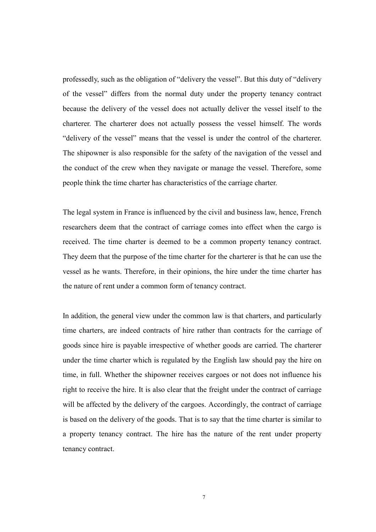professedly, such as the obligation of "delivery the vessel". But this duty of "delivery of the vessel" differs from the normal duty under the property tenancy contract because the delivery of the vessel does not actually deliver the vessel itself to the charterer. The charterer does not actually possess the vessel himself. The words "delivery of the vessel" means that the vessel is under the control of the charterer. The shipowner is also responsible for the safety of the navigation of the vessel and the conduct of the crew when they navigate or manage the vessel. Therefore, some people think the time charter has characteristics of the carriage charter.

The legal system in France is influenced by the civil and business law, hence, French researchers deem that the contract of carriage comes into effect when the cargo is received. The time charter is deemed to be a common property tenancy contract. They deem that the purpose of the time charter for the charterer is that he can use the vessel as he wants. Therefore, in their opinions, the hire under the time charter has the nature of rent under a common form of tenancy contract.

In addition, the general view under the common law is that charters, and particularly time charters, are indeed contracts of hire rather than contracts for the carriage of goods since hire is payable irrespective of whether goods are carried. The charterer under the time charter which is regulated by the English law should pay the hire on time, in full. Whether the shipowner receives cargoes or not does not influence his right to receive the hire. It is also clear that the freight under the contract of carriage will be affected by the delivery of the cargoes. Accordingly, the contract of carriage is based on the delivery of the goods. That is to say that the time charter is similar to a property tenancy contract. The hire has the nature of the rent under property tenancy contract.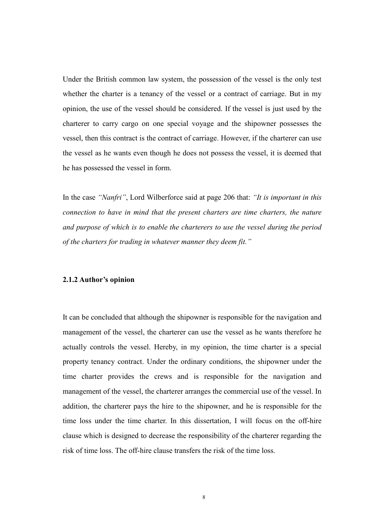Under the British common law system, the possession of the vessel is the only test whether the charter is a tenancy of the vessel or a contract of carriage. But in my opinion, the use of the vessel should be considered. If the vessel is just used by the charterer to carry cargo on one special voyage and the shipowner possesses the vessel, then this contract is the contract of carriage. However, if the charterer can use the vessel as he wants even though he does not possess the vessel, it is deemed that he has possessed the vessel in form.

In the case "Nanfri", Lord Wilberforce said at page 206 that: "It is important in this connection to have in mind that the present charters are time charters, the nature and purpose of which is to enable the charterers to use the vessel during the period of the charters for trading in whatever manner they deem fit."

#### 2.1.2 Author's opinion

It can be concluded that although the shipowner is responsible for the navigation and management of the vessel, the charterer can use the vessel as he wants therefore he actually controls the vessel. Hereby, in my opinion, the time charter is a special property tenancy contract. Under the ordinary conditions, the shipowner under the time charter provides the crews and is responsible for the navigation and management of the vessel, the charterer arranges the commercial use of the vessel. In addition, the charterer pays the hire to the shipowner, and he is responsible for the time loss under the time charter. In this dissertation, I will focus on the off-hire clause which is designed to decrease the responsibility of the charterer regarding the risk of time loss. The off-hire clause transfers the risk of the time loss.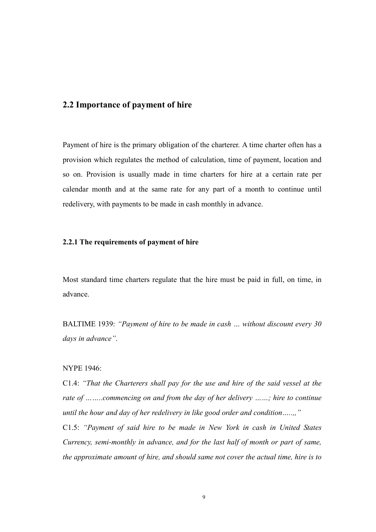### 2.2 Importance of payment of hire

Payment of hire is the primary obligation of the charterer. A time charter often has a provision which regulates the method of calculation, time of payment, location and so on. Provision is usually made in time charters for hire at a certain rate per calendar month and at the same rate for any part of a month to continue until redelivery, with payments to be made in cash monthly in advance.

#### 2.2.1 The requirements of payment of hire

Most standard time charters regulate that the hire must be paid in full, on time, in advance.

BALTIME 1939: "Payment of hire to be made in cash … without discount every 30 days in advance".

#### NYPE 1946:

C1.4: "That the Charterers shall pay for the use and hire of the said vessel at the rate of ……..commencing on and from the day of her delivery ……; hire to continue until the hour and day of her redelivery in like good order and condition.....,"

C1.5: "Payment of said hire to be made in New York in cash in United States Currency, semi-monthly in advance, and for the last half of month or part of same, the approximate amount of hire, and should same not cover the actual time, hire is to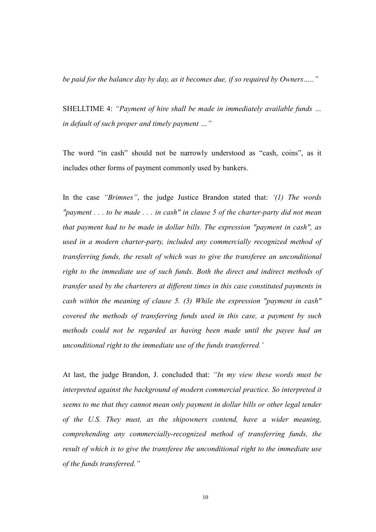be paid for the balance day by day, as it becomes due, if so required by Owners....."

SHELLTIME 4: "Payment of hire shall be made in immediately available funds ... in default of such proper and timely payment …"

The word "in cash" should not be narrowly understood as "cash, coins", as it includes other forms of payment commonly used by bankers.

In the case "Brimnes", the judge Justice Brandon stated that: '(1) The words "payment  $\ldots$  to be made  $\ldots$  in cash" in clause 5 of the charter-party did not mean that payment had to be made in dollar bills. The expression "payment in cash", as used in a modern charter-party, included any commercially recognized method of transferring funds, the result of which was to give the transferee an unconditional right to the immediate use of such funds. Both the direct and indirect methods of transfer used by the charterers at different times in this case constituted payments in cash within the meaning of clause 5. (3) While the expression "payment in cash" covered the methods of transferring funds used in this case, a payment by such methods could not be regarded as having been made until the payee had an unconditional right to the immediate use of the funds transferred.'

At last, the judge Brandon, J. concluded that: "In my view these words must be interpreted against the background of modern commercial practice. So interpreted it seems to me that they cannot mean only payment in dollar bills or other legal tender of the U.S. They must, as the shipowners contend, have a wider meaning, comprehending any commercially-recognized method of transferring funds, the result of which is to give the transferee the unconditional right to the immediate use of the funds transferred."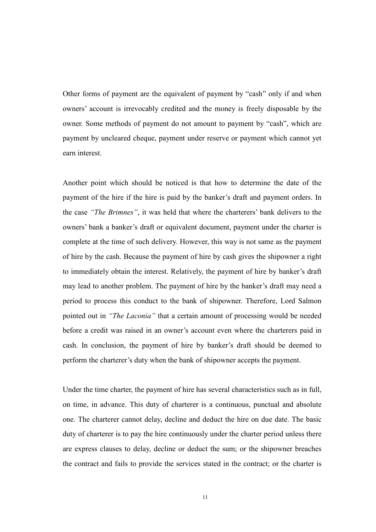Other forms of payment are the equivalent of payment by "cash" only if and when owners' account is irrevocably credited and the money is freely disposable by the owner. Some methods of payment do not amount to payment by "cash", which are payment by uncleared cheque, payment under reserve or payment which cannot yet earn interest.

Another point which should be noticed is that how to determine the date of the payment of the hire if the hire is paid by the banker's draft and payment orders. In the case "The Brimnes", it was held that where the charterers' bank delivers to the owners' bank a banker's draft or equivalent document, payment under the charter is complete at the time of such delivery. However, this way is not same as the payment of hire by the cash. Because the payment of hire by cash gives the shipowner a right to immediately obtain the interest. Relatively, the payment of hire by banker's draft may lead to another problem. The payment of hire by the banker's draft may need a period to process this conduct to the bank of shipowner. Therefore, Lord Salmon pointed out in "The Laconia" that a certain amount of processing would be needed before a credit was raised in an owner's account even where the charterers paid in cash. In conclusion, the payment of hire by banker's draft should be deemed to perform the charterer's duty when the bank of shipowner accepts the payment.

Under the time charter, the payment of hire has several characteristics such as in full, on time, in advance. This duty of charterer is a continuous, punctual and absolute one. The charterer cannot delay, decline and deduct the hire on due date. The basic duty of charterer is to pay the hire continuously under the charter period unless there are express clauses to delay, decline or deduct the sum; or the shipowner breaches the contract and fails to provide the services stated in the contract; or the charter is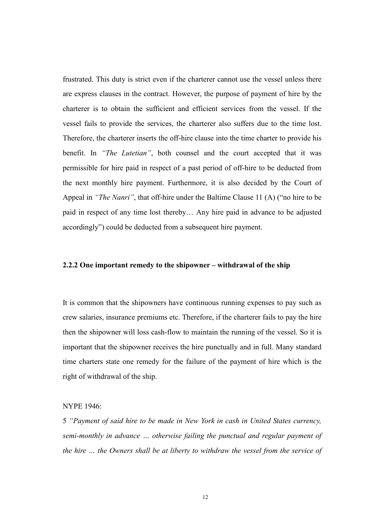frustrated. This duty is strict even if the charterer cannot use the vessel unless there are express clauses in the contract. However, the purpose of payment of hire by the charterer is to obtain the sufficient and efficient services from the vessel. If the vessel fails to provide the services, the charterer also suffers due to the time lost. Therefore, the charterer inserts the off-hire clause into the time charter to provide his benefit. In "The Lutetian", both counsel and the court accepted that it was permissible for hire paid in respect of a past period of off-hire to be deducted from the next monthly hire payment. Furthermore, it is also decided by the Court of Appeal in "The Nanri", that off-hire under the Baltime Clause 11 (A) ("no hire to be paid in respect of any time lost thereby… Any hire paid in advance to be adjusted accordingly") could be deducted from a subsequent hire payment.

#### 2.2.2 One important remedy to the shipowner – withdrawal of the ship

It is common that the shipowners have continuous running expenses to pay such as crew salaries, insurance premiums etc. Therefore, if the charterer fails to pay the hire then the shipowner will loss cash-flow to maintain the running of the vessel. So it is important that the shipowner receives the hire punctually and in full. Many standard time charters state one remedy for the failure of the payment of hire which is the right of withdrawal of the ship.

#### NYPE 1946:

5 "Payment of said hire to be made in New York in cash in United States currency, semi-monthly in advance … otherwise failing the punctual and regular payment of the hire … the Owners shall be at liberty to withdraw the vessel from the service of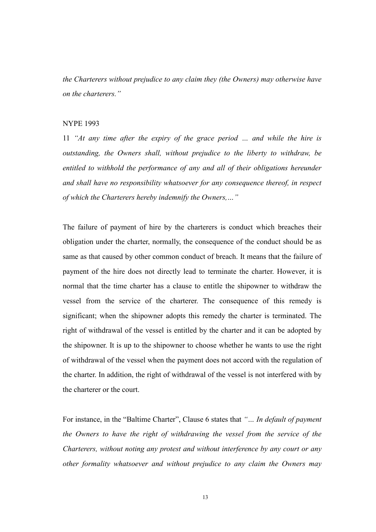the Charterers without prejudice to any claim they (the Owners) may otherwise have on the charterers."

#### NYPE 1993

11 "At any time after the expiry of the grace period … and while the hire is outstanding, the Owners shall, without prejudice to the liberty to withdraw, be entitled to withhold the performance of any and all of their obligations hereunder and shall have no responsibility whatsoever for any consequence thereof, in respect of which the Charterers hereby indemnify the Owners,…"

The failure of payment of hire by the charterers is conduct which breaches their obligation under the charter, normally, the consequence of the conduct should be as same as that caused by other common conduct of breach. It means that the failure of payment of the hire does not directly lead to terminate the charter. However, it is normal that the time charter has a clause to entitle the shipowner to withdraw the vessel from the service of the charterer. The consequence of this remedy is significant; when the shipowner adopts this remedy the charter is terminated. The right of withdrawal of the vessel is entitled by the charter and it can be adopted by the shipowner. It is up to the shipowner to choose whether he wants to use the right of withdrawal of the vessel when the payment does not accord with the regulation of the charter. In addition, the right of withdrawal of the vessel is not interfered with by the charterer or the court.

For instance, in the "Baltime Charter", Clause 6 states that "... In default of payment the Owners to have the right of withdrawing the vessel from the service of the Charterers, without noting any protest and without interference by any court or any other formality whatsoever and without prejudice to any claim the Owners may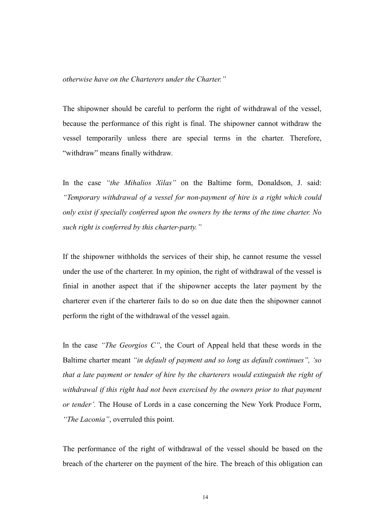otherwise have on the Charterers under the Charter."

The shipowner should be careful to perform the right of withdrawal of the vessel, because the performance of this right is final. The shipowner cannot withdraw the vessel temporarily unless there are special terms in the charter. Therefore, "withdraw" means finally withdraw.

In the case "the Mihalios Xilas" on the Baltime form, Donaldson, J. said: "Temporary withdrawal of a vessel for non-payment of hire is a right which could only exist if specially conferred upon the owners by the terms of the time charter. No such right is conferred by this charter-party."

If the shipowner withholds the services of their ship, he cannot resume the vessel under the use of the charterer. In my opinion, the right of withdrawal of the vessel is finial in another aspect that if the shipowner accepts the later payment by the charterer even if the charterer fails to do so on due date then the shipowner cannot perform the right of the withdrawal of the vessel again.

In the case "The Georgios C", the Court of Appeal held that these words in the Baltime charter meant "in default of payment and so long as default continues", 'so that a late payment or tender of hire by the charterers would extinguish the right of withdrawal if this right had not been exercised by the owners prior to that payment or tender'. The House of Lords in a case concerning the New York Produce Form, "The Laconia", overruled this point.

The performance of the right of withdrawal of the vessel should be based on the breach of the charterer on the payment of the hire. The breach of this obligation can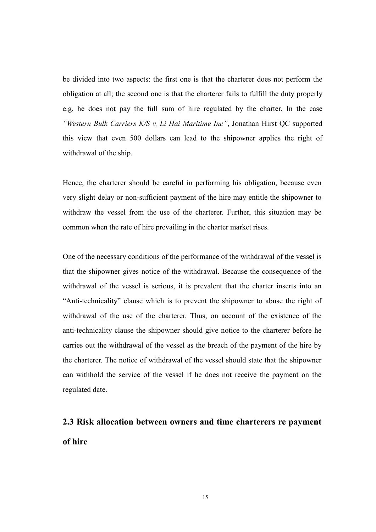be divided into two aspects: the first one is that the charterer does not perform the obligation at all; the second one is that the charterer fails to fulfill the duty properly e.g. he does not pay the full sum of hire regulated by the charter. In the case "Western Bulk Carriers K/S v. Li Hai Maritime Inc", Jonathan Hirst QC supported this view that even 500 dollars can lead to the shipowner applies the right of withdrawal of the ship.

Hence, the charterer should be careful in performing his obligation, because even very slight delay or non-sufficient payment of the hire may entitle the shipowner to withdraw the vessel from the use of the charterer. Further, this situation may be common when the rate of hire prevailing in the charter market rises.

One of the necessary conditions of the performance of the withdrawal of the vessel is that the shipowner gives notice of the withdrawal. Because the consequence of the withdrawal of the vessel is serious, it is prevalent that the charter inserts into an "Anti-technicality" clause which is to prevent the shipowner to abuse the right of withdrawal of the use of the charterer. Thus, on account of the existence of the anti-technicality clause the shipowner should give notice to the charterer before he carries out the withdrawal of the vessel as the breach of the payment of the hire by the charterer. The notice of withdrawal of the vessel should state that the shipowner can withhold the service of the vessel if he does not receive the payment on the regulated date.

# 2.3 Risk allocation between owners and time charterers re payment of hire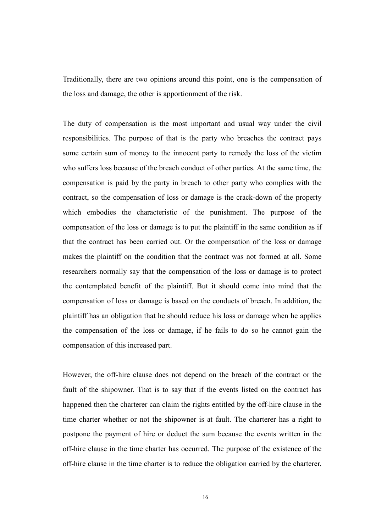Traditionally, there are two opinions around this point, one is the compensation of the loss and damage, the other is apportionment of the risk.

The duty of compensation is the most important and usual way under the civil responsibilities. The purpose of that is the party who breaches the contract pays some certain sum of money to the innocent party to remedy the loss of the victim who suffers loss because of the breach conduct of other parties. At the same time, the compensation is paid by the party in breach to other party who complies with the contract, so the compensation of loss or damage is the crack-down of the property which embodies the characteristic of the punishment. The purpose of the compensation of the loss or damage is to put the plaintiff in the same condition as if that the contract has been carried out. Or the compensation of the loss or damage makes the plaintiff on the condition that the contract was not formed at all. Some researchers normally say that the compensation of the loss or damage is to protect the contemplated benefit of the plaintiff. But it should come into mind that the compensation of loss or damage is based on the conducts of breach. In addition, the plaintiff has an obligation that he should reduce his loss or damage when he applies the compensation of the loss or damage, if he fails to do so he cannot gain the compensation of this increased part.

However, the off-hire clause does not depend on the breach of the contract or the fault of the shipowner. That is to say that if the events listed on the contract has happened then the charterer can claim the rights entitled by the off-hire clause in the time charter whether or not the shipowner is at fault. The charterer has a right to postpone the payment of hire or deduct the sum because the events written in the off-hire clause in the time charter has occurred. The purpose of the existence of the off-hire clause in the time charter is to reduce the obligation carried by the charterer.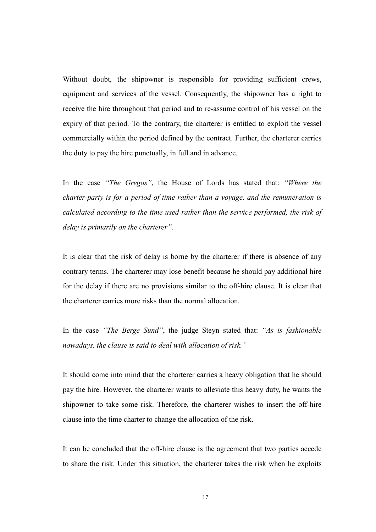Without doubt, the shipowner is responsible for providing sufficient crews, equipment and services of the vessel. Consequently, the shipowner has a right to receive the hire throughout that period and to re-assume control of his vessel on the expiry of that period. To the contrary, the charterer is entitled to exploit the vessel commercially within the period defined by the contract. Further, the charterer carries the duty to pay the hire punctually, in full and in advance.

In the case "The Gregos", the House of Lords has stated that: "Where the charter-party is for a period of time rather than a voyage, and the remuneration is calculated according to the time used rather than the service performed, the risk of delay is primarily on the charterer".

It is clear that the risk of delay is borne by the charterer if there is absence of any contrary terms. The charterer may lose benefit because he should pay additional hire for the delay if there are no provisions similar to the off-hire clause. It is clear that the charterer carries more risks than the normal allocation.

In the case "The Berge Sund", the judge Steyn stated that: "As is fashionable nowadays, the clause is said to deal with allocation of risk."

It should come into mind that the charterer carries a heavy obligation that he should pay the hire. However, the charterer wants to alleviate this heavy duty, he wants the shipowner to take some risk. Therefore, the charterer wishes to insert the off-hire clause into the time charter to change the allocation of the risk.

It can be concluded that the off-hire clause is the agreement that two parties accede to share the risk. Under this situation, the charterer takes the risk when he exploits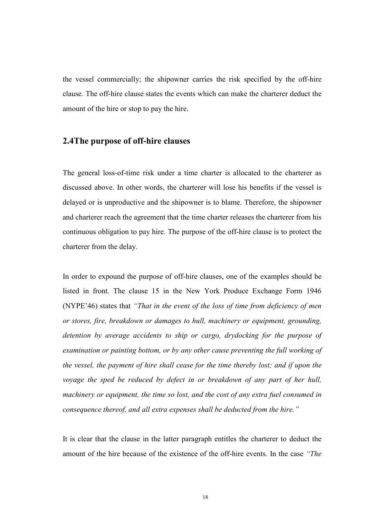the vessel commercially; the shipowner carries the risk specified by the off-hire clause. The off-hire clause states the events which can make the charterer deduct the amount of the hire or stop to pay the hire.

#### 2.4The purpose of off-hire clauses

The general loss-of-time risk under a time charter is allocated to the charterer as discussed above. In other words, the charterer will lose his benefits if the vessel is delayed or is unproductive and the shipowner is to blame. Therefore, the shipowner and charterer reach the agreement that the time charter releases the charterer from his continuous obligation to pay hire. The purpose of the off-hire clause is to protect the charterer from the delay.

In order to expound the purpose of off-hire clauses, one of the examples should be listed in front. The clause 15 in the New York Produce Exchange Form 1946 (NYPE'46) states that "That in the event of the loss of time from deficiency of men or stores, fire, breakdown or damages to hull, machinery or equipment, grounding, detention by average accidents to ship or cargo, drydocking for the purpose of examination or painting bottom, or by any other cause preventing the full working of the vessel, the payment of hire shall cease for the time thereby lost; and if upon the voyage the sped be reduced by defect in or breakdown of any part of her hull, machinery or equipment, the time so lost, and the cost of any extra fuel consumed in consequence thereof, and all extra expenses shall be deducted from the hire."

It is clear that the clause in the latter paragraph entitles the charterer to deduct the amount of the hire because of the existence of the off-hire events. In the case "The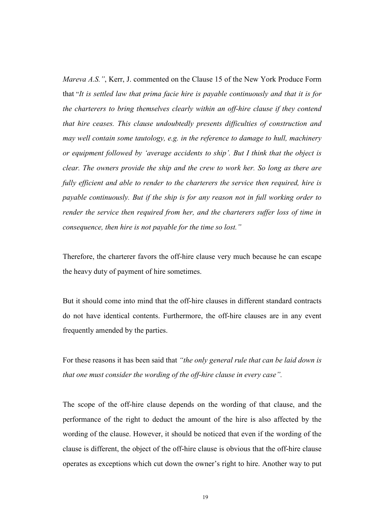Mareva A.S.", Kerr, J. commented on the Clause 15 of the New York Produce Form that "It is settled law that prima facie hire is payable continuously and that it is for the charterers to bring themselves clearly within an off-hire clause if they contend that hire ceases. This clause undoubtedly presents difficulties of construction and may well contain some tautology, e.g. in the reference to damage to hull, machinery or equipment followed by 'average accidents to ship'. But I think that the object is clear. The owners provide the ship and the crew to work her. So long as there are fully efficient and able to render to the charterers the service then required, hire is payable continuously. But if the ship is for any reason not in full working order to render the service then required from her, and the charterers suffer loss of time in consequence, then hire is not payable for the time so lost."

Therefore, the charterer favors the off-hire clause very much because he can escape the heavy duty of payment of hire sometimes.

But it should come into mind that the off-hire clauses in different standard contracts do not have identical contents. Furthermore, the off-hire clauses are in any event frequently amended by the parties.

For these reasons it has been said that "the only general rule that can be laid down is that one must consider the wording of the off-hire clause in every case".

The scope of the off-hire clause depends on the wording of that clause, and the performance of the right to deduct the amount of the hire is also affected by the wording of the clause. However, it should be noticed that even if the wording of the clause is different, the object of the off-hire clause is obvious that the off-hire clause operates as exceptions which cut down the owner's right to hire. Another way to put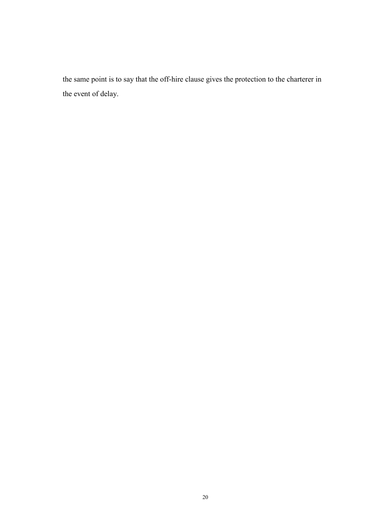the same point is to say that the off-hire clause gives the protection to the charterer in the event of delay.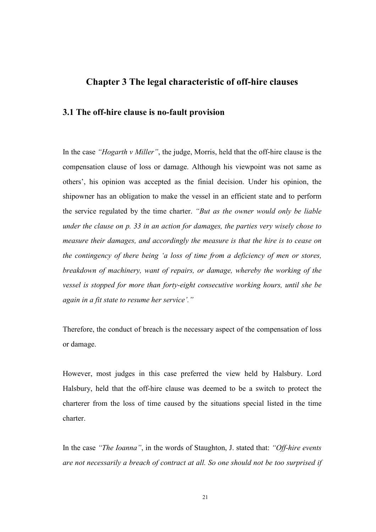## Chapter 3 The legal characteristic of off-hire clauses

#### 3.1 The off-hire clause is no-fault provision

In the case "Hogarth v Miller", the judge, Morris, held that the off-hire clause is the compensation clause of loss or damage. Although his viewpoint was not same as others', his opinion was accepted as the finial decision. Under his opinion, the shipowner has an obligation to make the vessel in an efficient state and to perform the service regulated by the time charter. "But as the owner would only be liable under the clause on p. 33 in an action for damages, the parties very wisely chose to measure their damages, and accordingly the measure is that the hire is to cease on the contingency of there being 'a loss of time from a deficiency of men or stores, breakdown of machinery, want of repairs, or damage, whereby the working of the vessel is stopped for more than forty-eight consecutive working hours, until she be again in a fit state to resume her service'."

Therefore, the conduct of breach is the necessary aspect of the compensation of loss or damage.

However, most judges in this case preferred the view held by Halsbury. Lord Halsbury, held that the off-hire clause was deemed to be a switch to protect the charterer from the loss of time caused by the situations special listed in the time charter.

In the case "The Ioanna", in the words of Staughton, J. stated that: "Off-hire events" are not necessarily a breach of contract at all. So one should not be too surprised if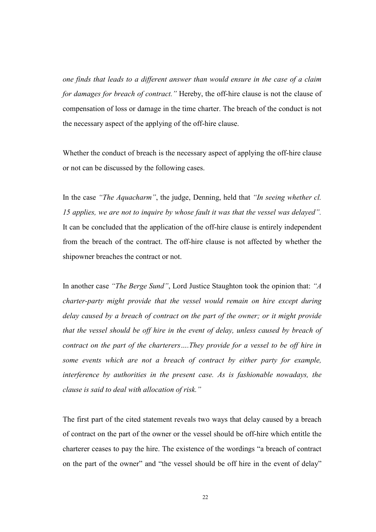one finds that leads to a different answer than would ensure in the case of a claim for damages for breach of contract." Hereby, the off-hire clause is not the clause of compensation of loss or damage in the time charter. The breach of the conduct is not the necessary aspect of the applying of the off-hire clause.

Whether the conduct of breach is the necessary aspect of applying the off-hire clause or not can be discussed by the following cases.

In the case "The Aquacharm", the judge, Denning, held that "In seeing whether cl. 15 applies, we are not to inquire by whose fault it was that the vessel was delayed". It can be concluded that the application of the off-hire clause is entirely independent from the breach of the contract. The off-hire clause is not affected by whether the shipowner breaches the contract or not.

In another case "The Berge Sund", Lord Justice Staughton took the opinion that: "A charter-party might provide that the vessel would remain on hire except during delay caused by a breach of contract on the part of the owner; or it might provide that the vessel should be off hire in the event of delay, unless caused by breach of contract on the part of the charterers….They provide for a vessel to be off hire in some events which are not a breach of contract by either party for example, interference by authorities in the present case. As is fashionable nowadays, the clause is said to deal with allocation of risk."

The first part of the cited statement reveals two ways that delay caused by a breach of contract on the part of the owner or the vessel should be off-hire which entitle the charterer ceases to pay the hire. The existence of the wordings "a breach of contract on the part of the owner" and "the vessel should be off hire in the event of delay"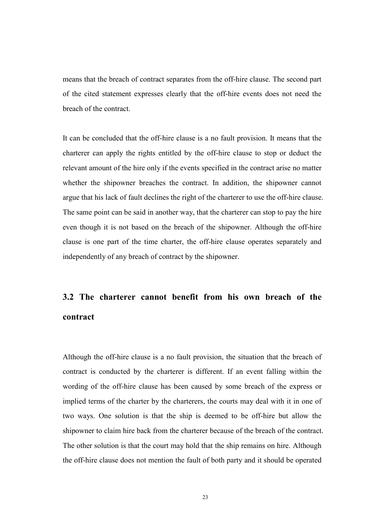means that the breach of contract separates from the off-hire clause. The second part of the cited statement expresses clearly that the off-hire events does not need the breach of the contract.

It can be concluded that the off-hire clause is a no fault provision. It means that the charterer can apply the rights entitled by the off-hire clause to stop or deduct the relevant amount of the hire only if the events specified in the contract arise no matter whether the shipowner breaches the contract. In addition, the shipowner cannot argue that his lack of fault declines the right of the charterer to use the off-hire clause. The same point can be said in another way, that the charterer can stop to pay the hire even though it is not based on the breach of the shipowner. Although the off-hire clause is one part of the time charter, the off-hire clause operates separately and independently of any breach of contract by the shipowner.

# 3.2 The charterer cannot benefit from his own breach of the contract

Although the off-hire clause is a no fault provision, the situation that the breach of contract is conducted by the charterer is different. If an event falling within the wording of the off-hire clause has been caused by some breach of the express or implied terms of the charter by the charterers, the courts may deal with it in one of two ways. One solution is that the ship is deemed to be off-hire but allow the shipowner to claim hire back from the charterer because of the breach of the contract. The other solution is that the court may hold that the ship remains on hire. Although the off-hire clause does not mention the fault of both party and it should be operated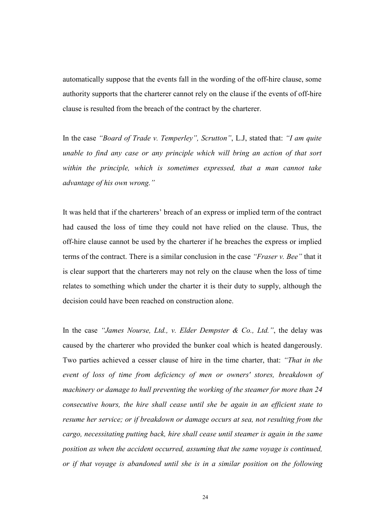automatically suppose that the events fall in the wording of the off-hire clause, some authority supports that the charterer cannot rely on the clause if the events of off-hire clause is resulted from the breach of the contract by the charterer.

In the case "Board of Trade v. Temperley", Scrutton", L.J, stated that: "I am quite unable to find any case or any principle which will bring an action of that sort within the principle, which is sometimes expressed, that a man cannot take advantage of his own wrong."

It was held that if the charterers' breach of an express or implied term of the contract had caused the loss of time they could not have relied on the clause. Thus, the off-hire clause cannot be used by the charterer if he breaches the express or implied terms of the contract. There is a similar conclusion in the case "Fraser v. Bee" that it is clear support that the charterers may not rely on the clause when the loss of time relates to something which under the charter it is their duty to supply, although the decision could have been reached on construction alone.

In the case "James Nourse, Ltd., v. Elder Dempster & Co., Ltd.", the delay was caused by the charterer who provided the bunker coal which is heated dangerously. Two parties achieved a cesser clause of hire in the time charter, that: "That in the event of loss of time from deficiency of men or owners' stores, breakdown of machinery or damage to hull preventing the working of the steamer for more than 24 consecutive hours, the hire shall cease until she be again in an efficient state to resume her service; or if breakdown or damage occurs at sea, not resulting from the cargo, necessitating putting back, hire shall cease until steamer is again in the same position as when the accident occurred, assuming that the same voyage is continued, or if that voyage is abandoned until she is in a similar position on the following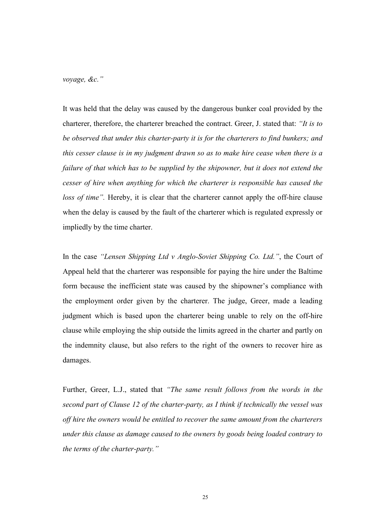voyage, &c."

It was held that the delay was caused by the dangerous bunker coal provided by the charterer, therefore, the charterer breached the contract. Greer, J. stated that: "It is to be observed that under this charter-party it is for the charterers to find bunkers; and this cesser clause is in my judgment drawn so as to make hire cease when there is a failure of that which has to be supplied by the shipowner, but it does not extend the cesser of hire when anything for which the charterer is responsible has caused the loss of time". Hereby, it is clear that the charterer cannot apply the off-hire clause when the delay is caused by the fault of the charterer which is regulated expressly or impliedly by the time charter.

In the case "Lensen Shipping Ltd v Anglo-Soviet Shipping Co. Ltd.", the Court of Appeal held that the charterer was responsible for paying the hire under the Baltime form because the inefficient state was caused by the shipowner's compliance with the employment order given by the charterer. The judge, Greer, made a leading judgment which is based upon the charterer being unable to rely on the off-hire clause while employing the ship outside the limits agreed in the charter and partly on the indemnity clause, but also refers to the right of the owners to recover hire as damages.

Further, Greer, L.J., stated that "The same result follows from the words in the second part of Clause 12 of the charter-party, as I think if technically the vessel was off hire the owners would be entitled to recover the same amount from the charterers under this clause as damage caused to the owners by goods being loaded contrary to the terms of the charter-party."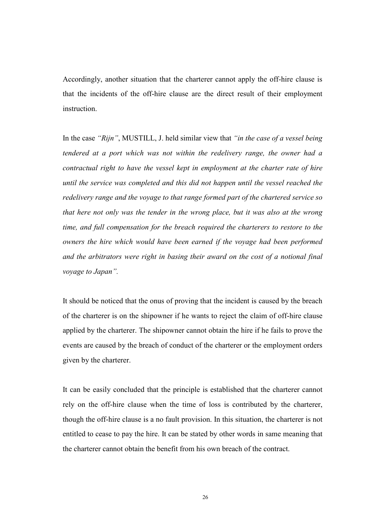Accordingly, another situation that the charterer cannot apply the off-hire clause is that the incidents of the off-hire clause are the direct result of their employment instruction.

In the case "Rijn", MUSTILL, J. held similar view that "in the case of a vessel being tendered at a port which was not within the redelivery range, the owner had a contractual right to have the vessel kept in employment at the charter rate of hire until the service was completed and this did not happen until the vessel reached the redelivery range and the voyage to that range formed part of the chartered service so that here not only was the tender in the wrong place, but it was also at the wrong time, and full compensation for the breach required the charterers to restore to the owners the hire which would have been earned if the voyage had been performed and the arbitrators were right in basing their award on the cost of a notional final voyage to Japan".

It should be noticed that the onus of proving that the incident is caused by the breach of the charterer is on the shipowner if he wants to reject the claim of off-hire clause applied by the charterer. The shipowner cannot obtain the hire if he fails to prove the events are caused by the breach of conduct of the charterer or the employment orders given by the charterer.

It can be easily concluded that the principle is established that the charterer cannot rely on the off-hire clause when the time of loss is contributed by the charterer, though the off-hire clause is a no fault provision. In this situation, the charterer is not entitled to cease to pay the hire. It can be stated by other words in same meaning that the charterer cannot obtain the benefit from his own breach of the contract.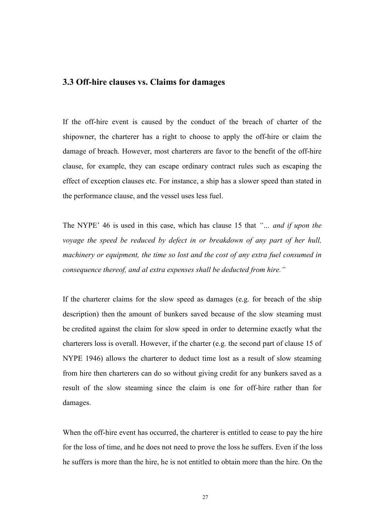# 3.3 Off-hire clauses vs. Claims for damages

If the off-hire event is caused by the conduct of the breach of charter of the shipowner, the charterer has a right to choose to apply the off-hire or claim the damage of breach. However, most charterers are favor to the benefit of the off-hire clause, for example, they can escape ordinary contract rules such as escaping the effect of exception clauses etc. For instance, a ship has a slower speed than stated in the performance clause, and the vessel uses less fuel.

The NYPE' 46 is used in this case, which has clause 15 that "... and if upon the voyage the speed be reduced by defect in or breakdown of any part of her hull, machinery or equipment, the time so lost and the cost of any extra fuel consumed in consequence thereof, and al extra expenses shall be deducted from hire."

If the charterer claims for the slow speed as damages (e.g. for breach of the ship description) then the amount of bunkers saved because of the slow steaming must be credited against the claim for slow speed in order to determine exactly what the charterers loss is overall. However, if the charter (e.g. the second part of clause 15 of NYPE 1946) allows the charterer to deduct time lost as a result of slow steaming from hire then charterers can do so without giving credit for any bunkers saved as a result of the slow steaming since the claim is one for off-hire rather than for damages.

When the off-hire event has occurred, the charterer is entitled to cease to pay the hire for the loss of time, and he does not need to prove the loss he suffers. Even if the loss he suffers is more than the hire, he is not entitled to obtain more than the hire. On the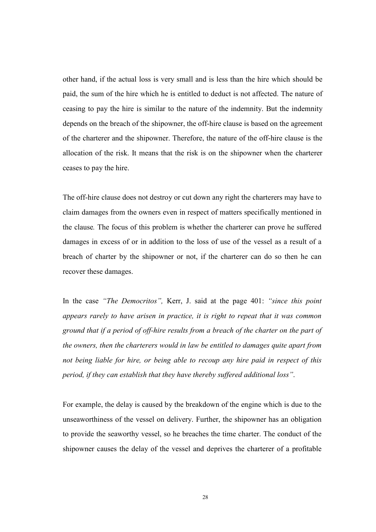other hand, if the actual loss is very small and is less than the hire which should be paid, the sum of the hire which he is entitled to deduct is not affected. The nature of ceasing to pay the hire is similar to the nature of the indemnity. But the indemnity depends on the breach of the shipowner, the off-hire clause is based on the agreement of the charterer and the shipowner. Therefore, the nature of the off-hire clause is the allocation of the risk. It means that the risk is on the shipowner when the charterer ceases to pay the hire.

The off-hire clause does not destroy or cut down any right the charterers may have to claim damages from the owners even in respect of matters specifically mentioned in the clause. The focus of this problem is whether the charterer can prove he suffered damages in excess of or in addition to the loss of use of the vessel as a result of a breach of charter by the shipowner or not, if the charterer can do so then he can recover these damages.

In the case "The Democritos", Kerr, J. said at the page 401: "since this point appears rarely to have arisen in practice, it is right to repeat that it was common ground that if a period of off-hire results from a breach of the charter on the part of the owners, then the charterers would in law be entitled to damages quite apart from not being liable for hire, or being able to recoup any hire paid in respect of this period, if they can establish that they have thereby suffered additional loss".

For example, the delay is caused by the breakdown of the engine which is due to the unseaworthiness of the vessel on delivery. Further, the shipowner has an obligation to provide the seaworthy vessel, so he breaches the time charter. The conduct of the shipowner causes the delay of the vessel and deprives the charterer of a profitable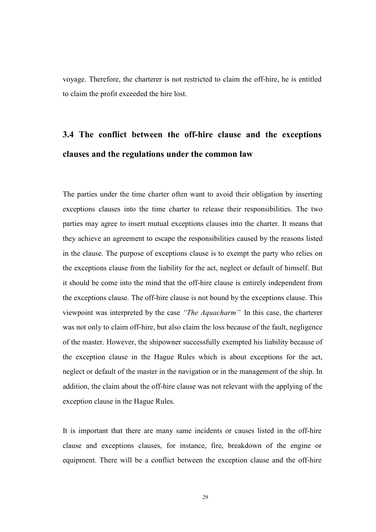voyage. Therefore, the charterer is not restricted to claim the off-hire, he is entitled to claim the profit exceeded the hire lost.

# 3.4 The conflict between the off-hire clause and the exceptions clauses and the regulations under the common law

The parties under the time charter often want to avoid their obligation by inserting exceptions clauses into the time charter to release their responsibilities. The two parties may agree to insert mutual exceptions clauses into the charter. It means that they achieve an agreement to escape the responsibilities caused by the reasons listed in the clause. The purpose of exceptions clause is to exempt the party who relies on the exceptions clause from the liability for the act, neglect or default of himself. But it should be come into the mind that the off-hire clause is entirely independent from the exceptions clause. The off-hire clause is not bound by the exceptions clause. This viewpoint was interpreted by the case "The Aquacharm" In this case, the charterer was not only to claim off-hire, but also claim the loss because of the fault, negligence of the master. However, the shipowner successfully exempted his liability because of the exception clause in the Hague Rules which is about exceptions for the act, neglect or default of the master in the navigation or in the management of the ship. In addition, the claim about the off-hire clause was not relevant with the applying of the exception clause in the Hague Rules.

It is important that there are many same incidents or causes listed in the off-hire clause and exceptions clauses, for instance, fire, breakdown of the engine or equipment. There will be a conflict between the exception clause and the off-hire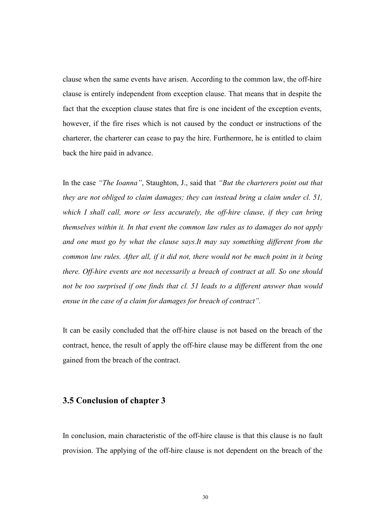clause when the same events have arisen. According to the common law, the off-hire clause is entirely independent from exception clause. That means that in despite the fact that the exception clause states that fire is one incident of the exception events, however, if the fire rises which is not caused by the conduct or instructions of the charterer, the charterer can cease to pay the hire. Furthermore, he is entitled to claim back the hire paid in advance.

In the case "The Ioanna", Staughton, J., said that "But the charterers point out that they are not obliged to claim damages; they can instead bring a claim under cl. 51, which I shall call, more or less accurately, the off-hire clause, if they can bring themselves within it. In that event the common law rules as to damages do not apply and one must go by what the clause says.It may say something different from the common law rules. After all, if it did not, there would not be much point in it being there. Off-hire events are not necessarily a breach of contract at all. So one should not be too surprised if one finds that cl. 51 leads to a different answer than would ensue in the case of a claim for damages for breach of contract".

It can be easily concluded that the off-hire clause is not based on the breach of the contract, hence, the result of apply the off-hire clause may be different from the one gained from the breach of the contract.

# 3.5 Conclusion of chapter 3

In conclusion, main characteristic of the off-hire clause is that this clause is no fault provision. The applying of the off-hire clause is not dependent on the breach of the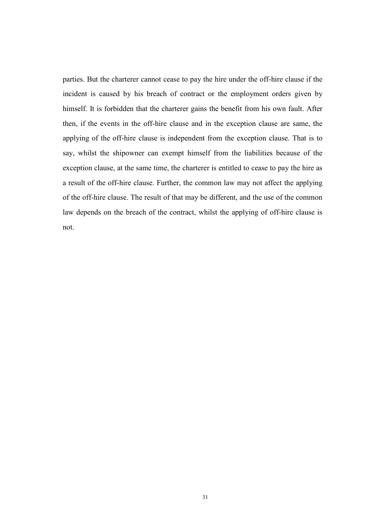parties. But the charterer cannot cease to pay the hire under the off-hire clause if the incident is caused by his breach of contract or the employment orders given by himself. It is forbidden that the charterer gains the benefit from his own fault. After then, if the events in the off-hire clause and in the exception clause are same, the applying of the off-hire clause is independent from the exception clause. That is to say, whilst the shipowner can exempt himself from the liabilities because of the exception clause, at the same time, the charterer is entitled to cease to pay the hire as a result of the off-hire clause. Further, the common law may not affect the applying of the off-hire clause. The result of that may be different, and the use of the common law depends on the breach of the contract, whilst the applying of off-hire clause is not.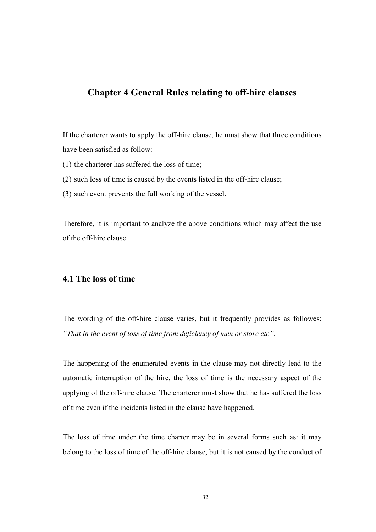# Chapter 4 General Rules relating to off-hire clauses

If the charterer wants to apply the off-hire clause, he must show that three conditions have been satisfied as follow:

- (1) the charterer has suffered the loss of time;
- (2) such loss of time is caused by the events listed in the off-hire clause;
- (3) such event prevents the full working of the vessel.

Therefore, it is important to analyze the above conditions which may affect the use of the off-hire clause.

## 4.1 The loss of time

The wording of the off-hire clause varies, but it frequently provides as followes: "That in the event of loss of time from deficiency of men or store etc".

The happening of the enumerated events in the clause may not directly lead to the automatic interruption of the hire, the loss of time is the necessary aspect of the applying of the off-hire clause. The charterer must show that he has suffered the loss of time even if the incidents listed in the clause have happened.

The loss of time under the time charter may be in several forms such as: it may belong to the loss of time of the off-hire clause, but it is not caused by the conduct of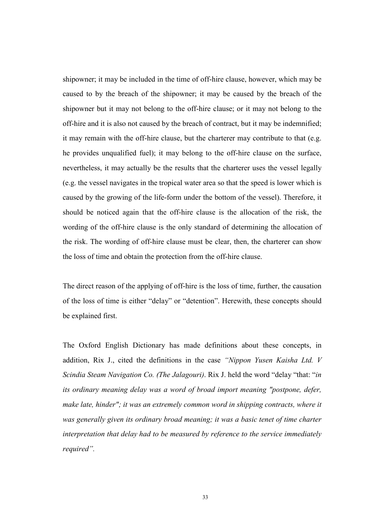shipowner; it may be included in the time of off-hire clause, however, which may be caused to by the breach of the shipowner; it may be caused by the breach of the shipowner but it may not belong to the off-hire clause; or it may not belong to the off-hire and it is also not caused by the breach of contract, but it may be indemnified; it may remain with the off-hire clause, but the charterer may contribute to that (e.g. he provides unqualified fuel); it may belong to the off-hire clause on the surface, nevertheless, it may actually be the results that the charterer uses the vessel legally (e.g. the vessel navigates in the tropical water area so that the speed is lower which is caused by the growing of the life-form under the bottom of the vessel). Therefore, it should be noticed again that the off-hire clause is the allocation of the risk, the wording of the off-hire clause is the only standard of determining the allocation of the risk. The wording of off-hire clause must be clear, then, the charterer can show the loss of time and obtain the protection from the off-hire clause.

The direct reason of the applying of off-hire is the loss of time, further, the causation of the loss of time is either "delay" or "detention". Herewith, these concepts should be explained first.

The Oxford English Dictionary has made definitions about these concepts, in addition, Rix J., cited the definitions in the case "Nippon Yusen Kaisha Ltd. V Scindia Steam Navigation Co. (The Jalagouri). Rix J. held the word "delay "that: "in its ordinary meaning delay was a word of broad import meaning "postpone, defer, make late, hinder"; it was an extremely common word in shipping contracts, where it was generally given its ordinary broad meaning; it was a basic tenet of time charter interpretation that delay had to be measured by reference to the service immediately required".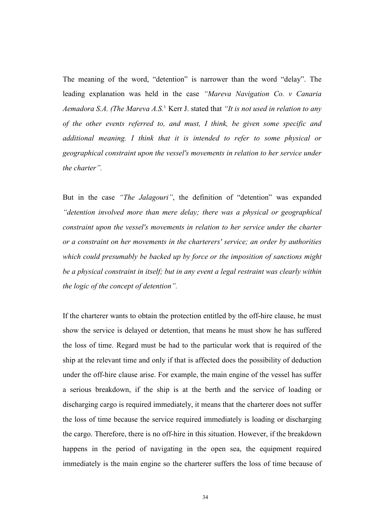The meaning of the word, "detention" is narrower than the word "delay". The leading explanation was held in the case "Mareva Navigation Co. v Canaria Aemadora S.A. (The Mareva A.S.) Kerr J. stated that "It is not used in relation to any of the other events referred to, and must, I think, be given some specific and additional meaning. I think that it is intended to refer to some physical or geographical constraint upon the vessel's movements in relation to her service under the charter".

But in the case "The Jalagouri", the definition of "detention" was expanded "detention involved more than mere delay; there was a physical or geographical constraint upon the vessel's movements in relation to her service under the charter or a constraint on her movements in the charterers' service; an order by authorities which could presumably be backed up by force or the imposition of sanctions might be a physical constraint in itself; but in any event a legal restraint was clearly within the logic of the concept of detention".

If the charterer wants to obtain the protection entitled by the off-hire clause, he must show the service is delayed or detention, that means he must show he has suffered the loss of time. Regard must be had to the particular work that is required of the ship at the relevant time and only if that is affected does the possibility of deduction under the off-hire clause arise. For example, the main engine of the vessel has suffer a serious breakdown, if the ship is at the berth and the service of loading or discharging cargo is required immediately, it means that the charterer does not suffer the loss of time because the service required immediately is loading or discharging the cargo. Therefore, there is no off-hire in this situation. However, if the breakdown happens in the period of navigating in the open sea, the equipment required immediately is the main engine so the charterer suffers the loss of time because of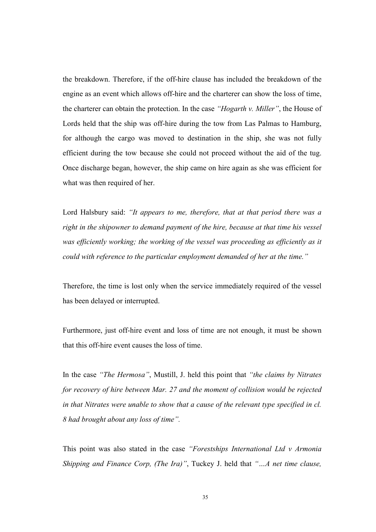the breakdown. Therefore, if the off-hire clause has included the breakdown of the engine as an event which allows off-hire and the charterer can show the loss of time, the charterer can obtain the protection. In the case "Hogarth v. Miller", the House of Lords held that the ship was off-hire during the tow from Las Palmas to Hamburg, for although the cargo was moved to destination in the ship, she was not fully efficient during the tow because she could not proceed without the aid of the tug. Once discharge began, however, the ship came on hire again as she was efficient for what was then required of her.

Lord Halsbury said: "It appears to me, therefore, that at that period there was a right in the shipowner to demand payment of the hire, because at that time his vessel was efficiently working; the working of the vessel was proceeding as efficiently as it could with reference to the particular employment demanded of her at the time."

Therefore, the time is lost only when the service immediately required of the vessel has been delayed or interrupted.

Furthermore, just off-hire event and loss of time are not enough, it must be shown that this off-hire event causes the loss of time.

In the case "The Hermosa", Mustill, J. held this point that "the claims by Nitrates" for recovery of hire between Mar. 27 and the moment of collision would be rejected in that Nitrates were unable to show that a cause of the relevant type specified in cl. 8 had brought about any loss of time".

This point was also stated in the case "Forestships International Ltd v Armonia Shipping and Finance Corp, (The Ira)", Tuckey J. held that "...A net time clause,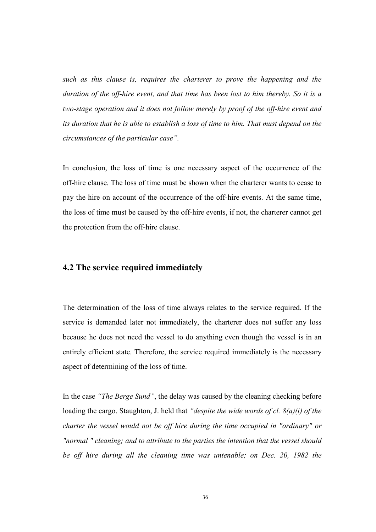such as this clause is, requires the charterer to prove the happening and the duration of the off-hire event, and that time has been lost to him thereby. So it is a two-stage operation and it does not follow merely by proof of the off-hire event and its duration that he is able to establish a loss of time to him. That must depend on the circumstances of the particular case".

In conclusion, the loss of time is one necessary aspect of the occurrence of the off-hire clause. The loss of time must be shown when the charterer wants to cease to pay the hire on account of the occurrence of the off-hire events. At the same time, the loss of time must be caused by the off-hire events, if not, the charterer cannot get the protection from the off-hire clause.

# 4.2 The service required immediately

The determination of the loss of time always relates to the service required. If the service is demanded later not immediately, the charterer does not suffer any loss because he does not need the vessel to do anything even though the vessel is in an entirely efficient state. Therefore, the service required immediately is the necessary aspect of determining of the loss of time.

In the case "The Berge Sund", the delay was caused by the cleaning checking before loading the cargo. Staughton, J. held that "despite the wide words of cl.  $\delta(a)(i)$  of the charter the vessel would not be off hire during the time occupied in "ordinary" or "normal " cleaning; and to attribute to the parties the intention that the vessel should be off hire during all the cleaning time was untenable; on Dec. 20, 1982 the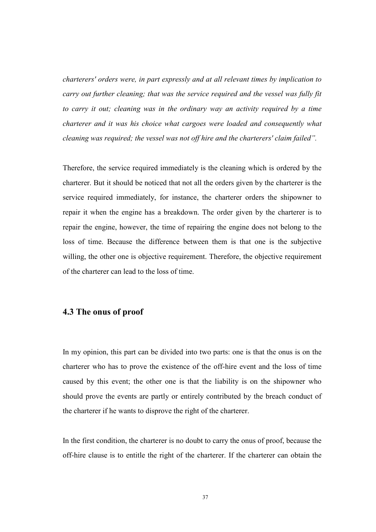charterers' orders were, in part expressly and at all relevant times by implication to carry out further cleaning; that was the service required and the vessel was fully fit to carry it out; cleaning was in the ordinary way an activity required by a time charterer and it was his choice what cargoes were loaded and consequently what cleaning was required; the vessel was not off hire and the charterers' claim failed".

Therefore, the service required immediately is the cleaning which is ordered by the charterer. But it should be noticed that not all the orders given by the charterer is the service required immediately, for instance, the charterer orders the shipowner to repair it when the engine has a breakdown. The order given by the charterer is to repair the engine, however, the time of repairing the engine does not belong to the loss of time. Because the difference between them is that one is the subjective willing, the other one is objective requirement. Therefore, the objective requirement of the charterer can lead to the loss of time.

# 4.3 The onus of proof

In my opinion, this part can be divided into two parts: one is that the onus is on the charterer who has to prove the existence of the off-hire event and the loss of time caused by this event; the other one is that the liability is on the shipowner who should prove the events are partly or entirely contributed by the breach conduct of the charterer if he wants to disprove the right of the charterer.

In the first condition, the charterer is no doubt to carry the onus of proof, because the off-hire clause is to entitle the right of the charterer. If the charterer can obtain the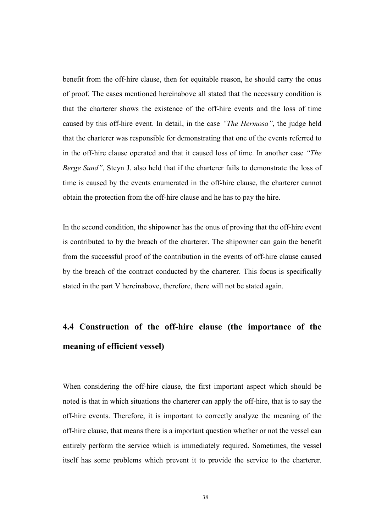benefit from the off-hire clause, then for equitable reason, he should carry the onus of proof. The cases mentioned hereinabove all stated that the necessary condition is that the charterer shows the existence of the off-hire events and the loss of time caused by this off-hire event. In detail, in the case "The Hermosa", the judge held that the charterer was responsible for demonstrating that one of the events referred to in the off-hire clause operated and that it caused loss of time. In another case "The Berge Sund", Steyn J. also held that if the charterer fails to demonstrate the loss of time is caused by the events enumerated in the off-hire clause, the charterer cannot obtain the protection from the off-hire clause and he has to pay the hire.

In the second condition, the shipowner has the onus of proving that the off-hire event is contributed to by the breach of the charterer. The shipowner can gain the benefit from the successful proof of the contribution in the events of off-hire clause caused by the breach of the contract conducted by the charterer. This focus is specifically stated in the part V hereinabove, therefore, there will not be stated again.

# 4.4 Construction of the off-hire clause (the importance of the meaning of efficient vessel)

When considering the off-hire clause, the first important aspect which should be noted is that in which situations the charterer can apply the off-hire, that is to say the off-hire events. Therefore, it is important to correctly analyze the meaning of the off-hire clause, that means there is a important question whether or not the vessel can entirely perform the service which is immediately required. Sometimes, the vessel itself has some problems which prevent it to provide the service to the charterer.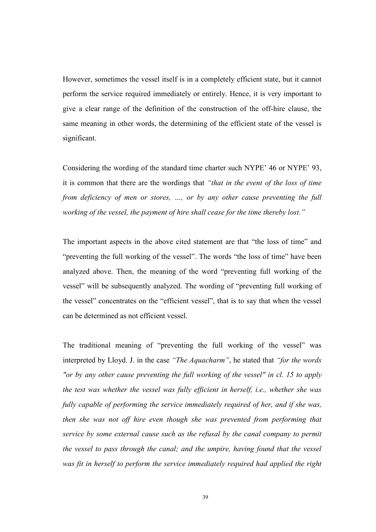However, sometimes the vessel itself is in a completely efficient state, but it cannot perform the service required immediately or entirely. Hence, it is very important to give a clear range of the definition of the construction of the off-hire clause, the same meaning in other words, the determining of the efficient state of the vessel is significant.

Considering the wording of the standard time charter such NYPE' 46 or NYPE' 93, it is common that there are the wordings that "that in the event of the loss of time from deficiency of men or stores, …, or by any other cause preventing the full working of the vessel, the payment of hire shall cease for the time thereby lost."

The important aspects in the above cited statement are that "the loss of time" and "preventing the full working of the vessel". The words "the loss of time" have been analyzed above. Then, the meaning of the word "preventing full working of the vessel" will be subsequently analyzed. The wording of "preventing full working of the vessel" concentrates on the "efficient vessel", that is to say that when the vessel can be determined as not efficient vessel.

The traditional meaning of "preventing the full working of the vessel" was interpreted by Lloyd. J. in the case "The Aquacharm", he stated that "for the words "or by any other cause preventing the full working of the vessel" in cl. 15 to apply the test was whether the vessel was fully efficient in herself, i.e., whether she was fully capable of performing the service immediately required of her, and if she was, then she was not off hire even though she was prevented from performing that service by some external cause such as the refusal by the canal company to permit the vessel to pass through the canal; and the umpire, having found that the vessel was fit in herself to perform the service immediately required had applied the right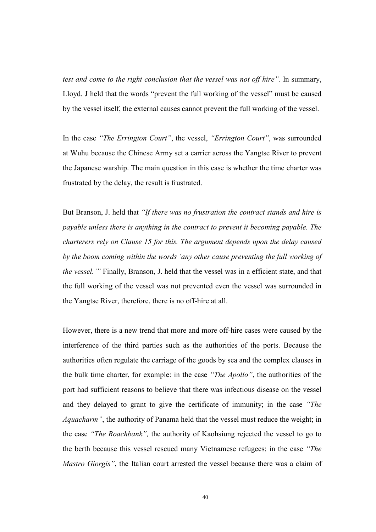test and come to the right conclusion that the vessel was not off hire". In summary, Lloyd. J held that the words "prevent the full working of the vessel" must be caused by the vessel itself, the external causes cannot prevent the full working of the vessel.

In the case "The Errington Court", the vessel, "Errington Court", was surrounded at Wuhu because the Chinese Army set a carrier across the Yangtse River to prevent the Japanese warship. The main question in this case is whether the time charter was frustrated by the delay, the result is frustrated.

But Branson, J. held that "If there was no frustration the contract stands and hire is payable unless there is anything in the contract to prevent it becoming payable. The charterers rely on Clause 15 for this. The argument depends upon the delay caused by the boom coming within the words 'any other cause preventing the full working of the vessel.'" Finally, Branson, J. held that the vessel was in a efficient state, and that the full working of the vessel was not prevented even the vessel was surrounded in the Yangtse River, therefore, there is no off-hire at all.

However, there is a new trend that more and more off-hire cases were caused by the interference of the third parties such as the authorities of the ports. Because the authorities often regulate the carriage of the goods by sea and the complex clauses in the bulk time charter, for example: in the case "The Apollo", the authorities of the port had sufficient reasons to believe that there was infectious disease on the vessel and they delayed to grant to give the certificate of immunity; in the case "The Aquacharm", the authority of Panama held that the vessel must reduce the weight; in the case "The Roachbank", the authority of Kaohsiung rejected the vessel to go to the berth because this vessel rescued many Vietnamese refugees; in the case "The Mastro Giorgis", the Italian court arrested the vessel because there was a claim of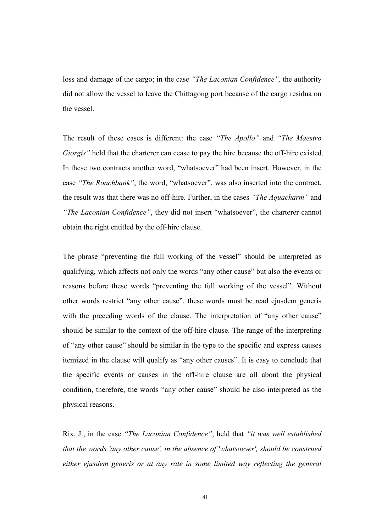loss and damage of the cargo; in the case "The Laconian Confidence", the authority did not allow the vessel to leave the Chittagong port because of the cargo residua on the vessel.

The result of these cases is different: the case "The Apollo" and "The Maestro Giorgis" held that the charterer can cease to pay the hire because the off-hire existed. In these two contracts another word, "whatsoever" had been insert. However, in the case "The Roachbank", the word, "whatsoever", was also inserted into the contract, the result was that there was no off-hire. Further, in the cases "The Aquacharm" and "The Laconian Confidence", they did not insert "whatsoever", the charterer cannot obtain the right entitled by the off-hire clause.

The phrase "preventing the full working of the vessel" should be interpreted as qualifying, which affects not only the words "any other cause" but also the events or reasons before these words "preventing the full working of the vessel". Without other words restrict "any other cause", these words must be read ejusdem generis with the preceding words of the clause. The interpretation of "any other cause" should be similar to the context of the off-hire clause. The range of the interpreting of "any other cause" should be similar in the type to the specific and express causes itemized in the clause will qualify as "any other causes". It is easy to conclude that the specific events or causes in the off-hire clause are all about the physical condition, therefore, the words "any other cause" should be also interpreted as the physical reasons.

Rix, J., in the case "The Laconian Confidence", held that "it was well established that the words 'any other cause', in the absence of 'whatsoever', should be construed either ejusdem generis or at any rate in some limited way reflecting the general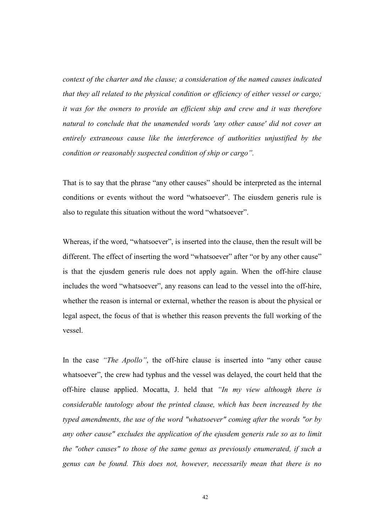context of the charter and the clause; a consideration of the named causes indicated that they all related to the physical condition or efficiency of either vessel or cargo; it was for the owners to provide an efficient ship and crew and it was therefore natural to conclude that the unamended words 'any other cause' did not cover an entirely extraneous cause like the interference of authorities unjustified by the condition or reasonably suspected condition of ship or cargo".

That is to say that the phrase "any other causes" should be interpreted as the internal conditions or events without the word "whatsoever". The eiusdem generis rule is also to regulate this situation without the word "whatsoever".

Whereas, if the word, "whatsoever", is inserted into the clause, then the result will be different. The effect of inserting the word "whatsoever" after "or by any other cause" is that the ejusdem generis rule does not apply again. When the off-hire clause includes the word "whatsoever", any reasons can lead to the vessel into the off-hire, whether the reason is internal or external, whether the reason is about the physical or legal aspect, the focus of that is whether this reason prevents the full working of the vessel.

In the case "The Apollo", the off-hire clause is inserted into "any other cause whatsoever", the crew had typhus and the vessel was delayed, the court held that the off-hire clause applied. Mocatta, J. held that "In my view although there is considerable tautology about the printed clause, which has been increased by the typed amendments, the use of the word "whatsoever" coming after the words "or by any other cause" excludes the application of the ejusdem generis rule so as to limit the "other causes" to those of the same genus as previously enumerated, if such a genus can be found. This does not, however, necessarily mean that there is no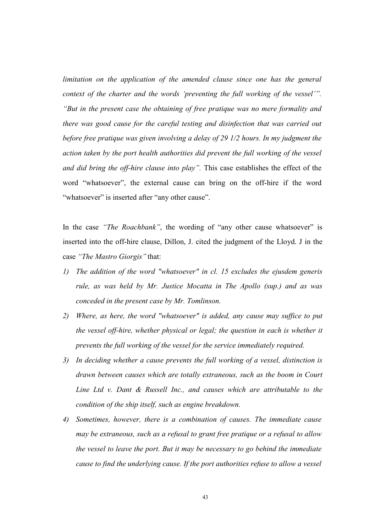limitation on the application of the amended clause since one has the general context of the charter and the words 'preventing the full working of the vessel'". "But in the present case the obtaining of free pratique was no mere formality and there was good cause for the careful testing and disinfection that was carried out before free pratique was given involving a delay of 29 1/2 hours. In my judgment the action taken by the port health authorities did prevent the full working of the vessel and did bring the off-hire clause into play". This case establishes the effect of the word "whatsoever", the external cause can bring on the off-hire if the word "whatsoever" is inserted after "any other cause".

In the case "The Roachbank", the wording of "any other cause whatsoever" is inserted into the off-hire clause, Dillon, J. cited the judgment of the Lloyd. J in the case "The Mastro Giorgis" that:

- 1) The addition of the word "whatsoever" in cl. 15 excludes the ejusdem generis rule, as was held by Mr. Justice Mocatta in The Apollo (sup.) and as was conceded in the present case by Mr. Tomlinson.
- 2) Where, as here, the word "whatsoever" is added, any cause may suffice to put the vessel off-hire, whether physical or legal; the question in each is whether it prevents the full working of the vessel for the service immediately required.
- 3) In deciding whether a cause prevents the full working of a vessel, distinction is drawn between causes which are totally extraneous, such as the boom in Court Line Ltd v. Dant & Russell Inc., and causes which are attributable to the condition of the ship itself, such as engine breakdown.
- 4) Sometimes, however, there is a combination of causes. The immediate cause may be extraneous, such as a refusal to grant free pratique or a refusal to allow the vessel to leave the port. But it may be necessary to go behind the immediate cause to find the underlying cause. If the port authorities refuse to allow a vessel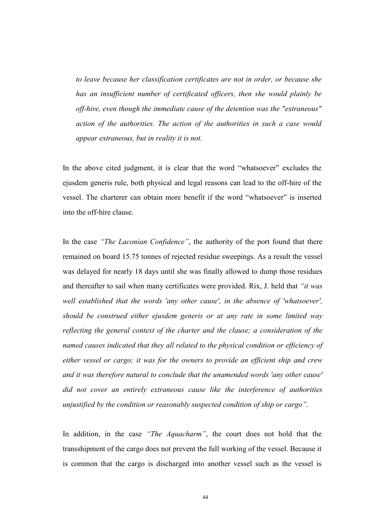to leave because her classification certificates are not in order, or because she has an insufficient number of certificated officers, then she would plainly be off-hire, even though the immediate cause of the detention was the "extraneous" action of the authorities. The action of the authorities in such a case would appear extraneous, but in reality it is not.

In the above cited judgment, it is clear that the word "whatsoever" excludes the ejusdem generis rule, both physical and legal reasons can lead to the off-hire of the vessel. The charterer can obtain more benefit if the word "whatsoever" is inserted into the off-hire clause.

In the case "The Laconian Confidence", the authority of the port found that there remained on board 15.75 tonnes of rejected residue sweepings. As a result the vessel was delayed for nearly 18 days until she was finally allowed to dump those residues and thereafter to sail when many certificates were provided. Rix, J. held that "it was well established that the words 'any other cause', in the absence of 'whatsoever', should be construed either ejusdem generis or at any rate in some limited way reflecting the general context of the charter and the clause; a consideration of the named causes indicated that they all related to the physical condition or efficiency of either vessel or cargo; it was for the owners to provide an efficient ship and crew and it was therefore natural to conclude that the unamended words 'any other cause' did not cover an entirely extraneous cause like the interference of authorities unjustified by the condition or reasonably suspected condition of ship or cargo".

In addition, in the case "The Aquacharm", the court does not hold that the transshipment of the cargo does not prevent the full working of the vessel. Because it is common that the cargo is discharged into another vessel such as the vessel is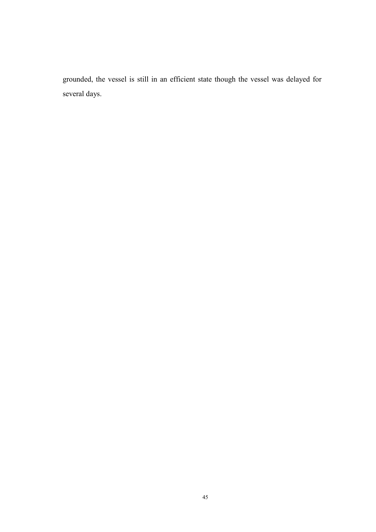grounded, the vessel is still in an efficient state though the vessel was delayed for several days.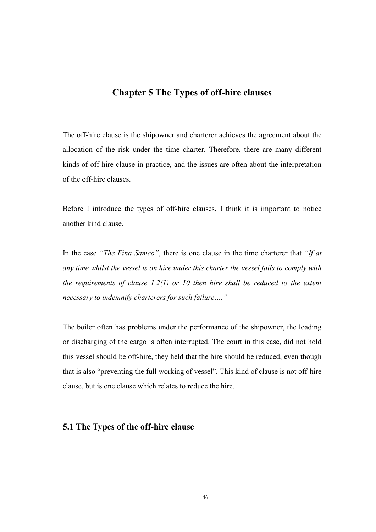# Chapter 5 The Types of off-hire clauses

The off-hire clause is the shipowner and charterer achieves the agreement about the allocation of the risk under the time charter. Therefore, there are many different kinds of off-hire clause in practice, and the issues are often about the interpretation of the off-hire clauses.

Before I introduce the types of off-hire clauses, I think it is important to notice another kind clause.

In the case "The Fina Samco", there is one clause in the time charterer that "If at any time whilst the vessel is on hire under this charter the vessel fails to comply with the requirements of clause  $1.2(1)$  or 10 then hire shall be reduced to the extent necessary to indemnify charterers for such failure…."

The boiler often has problems under the performance of the shipowner, the loading or discharging of the cargo is often interrupted. The court in this case, did not hold this vessel should be off-hire, they held that the hire should be reduced, even though that is also "preventing the full working of vessel". This kind of clause is not off-hire clause, but is one clause which relates to reduce the hire.

# 5.1 The Types of the off-hire clause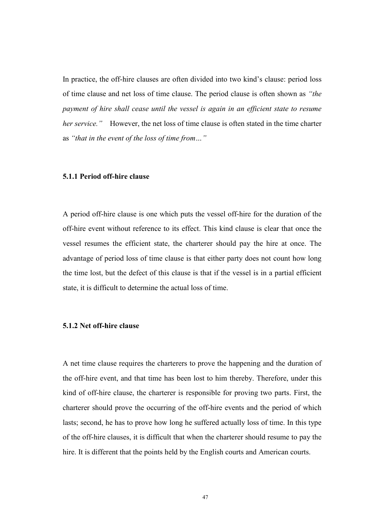In practice, the off-hire clauses are often divided into two kind's clause: period loss of time clause and net loss of time clause. The period clause is often shown as "the payment of hire shall cease until the vessel is again in an efficient state to resume her service." However, the net loss of time clause is often stated in the time charter as "that in the event of the loss of time from…"

#### 5.1.1 Period off-hire clause

A period off-hire clause is one which puts the vessel off-hire for the duration of the off-hire event without reference to its effect. This kind clause is clear that once the vessel resumes the efficient state, the charterer should pay the hire at once. The advantage of period loss of time clause is that either party does not count how long the time lost, but the defect of this clause is that if the vessel is in a partial efficient state, it is difficult to determine the actual loss of time.

#### 5.1.2 Net off-hire clause

A net time clause requires the charterers to prove the happening and the duration of the off-hire event, and that time has been lost to him thereby. Therefore, under this kind of off-hire clause, the charterer is responsible for proving two parts. First, the charterer should prove the occurring of the off-hire events and the period of which lasts; second, he has to prove how long he suffered actually loss of time. In this type of the off-hire clauses, it is difficult that when the charterer should resume to pay the hire. It is different that the points held by the English courts and American courts.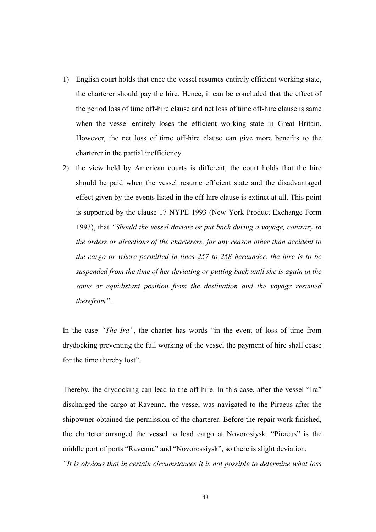- 1) English court holds that once the vessel resumes entirely efficient working state, the charterer should pay the hire. Hence, it can be concluded that the effect of the period loss of time off-hire clause and net loss of time off-hire clause is same when the vessel entirely loses the efficient working state in Great Britain. However, the net loss of time off-hire clause can give more benefits to the charterer in the partial inefficiency.
- 2) the view held by American courts is different, the court holds that the hire should be paid when the vessel resume efficient state and the disadvantaged effect given by the events listed in the off-hire clause is extinct at all. This point is supported by the clause 17 NYPE 1993 (New York Product Exchange Form 1993), that "Should the vessel deviate or put back during a voyage, contrary to the orders or directions of the charterers, for any reason other than accident to the cargo or where permitted in lines 257 to 258 hereunder, the hire is to be suspended from the time of her deviating or putting back until she is again in the same or equidistant position from the destination and the voyage resumed therefrom".

In the case "The Ira", the charter has words "in the event of loss of time from drydocking preventing the full working of the vessel the payment of hire shall cease for the time thereby lost".

Thereby, the drydocking can lead to the off-hire. In this case, after the vessel "Ira" discharged the cargo at Ravenna, the vessel was navigated to the Piraeus after the shipowner obtained the permission of the charterer. Before the repair work finished, the charterer arranged the vessel to load cargo at Novorosiysk. "Piraeus" is the middle port of ports "Ravenna" and "Novorossiysk", so there is slight deviation. "It is obvious that in certain circumstances it is not possible to determine what loss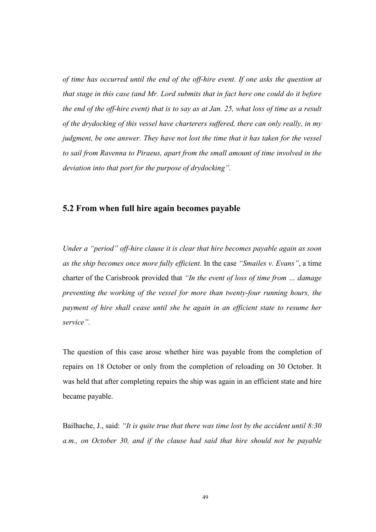of time has occurred until the end of the off-hire event. If one asks the question at that stage in this case (and Mr. Lord submits that in fact here one could do it before the end of the off-hire event) that is to say as at Jan. 25, what loss of time as a result of the drydocking of this vessel have charterers suffered, there can only really, in my judgment, be one answer. They have not lost the time that it has taken for the vessel to sail from Ravenna to Piraeus, apart from the small amount of time involved in the deviation into that port for the purpose of drydocking".

#### 5.2 From when full hire again becomes payable

Under a "period" off-hire clause it is clear that hire becomes payable again as soon as the ship becomes once more fully efficient. In the case "Smailes v. Evans", a time charter of the Carisbrook provided that "In the event of loss of time from … damage preventing the working of the vessel for more than twenty-four running hours, the payment of hire shall cease until she be again in an efficient state to resume her service".

The question of this case arose whether hire was payable from the completion of repairs on 18 October or only from the completion of reloading on 30 October. It was held that after completing repairs the ship was again in an efficient state and hire became payable.

Bailhache, J., said: "It is quite true that there was time lost by the accident until  $8:30$ a.m., on October 30, and if the clause had said that hire should not be payable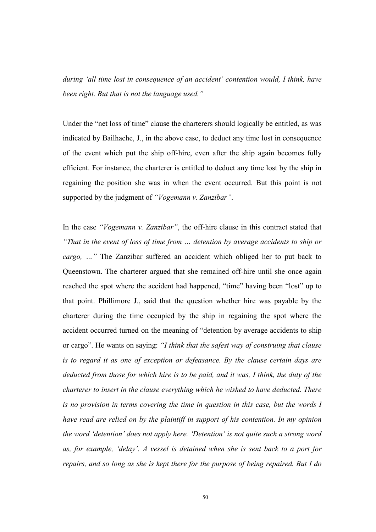during 'all time lost in consequence of an accident' contention would, I think, have been right. But that is not the language used."

Under the "net loss of time" clause the charterers should logically be entitled, as was indicated by Bailhache, J., in the above case, to deduct any time lost in consequence of the event which put the ship off-hire, even after the ship again becomes fully efficient. For instance, the charterer is entitled to deduct any time lost by the ship in regaining the position she was in when the event occurred. But this point is not supported by the judgment of "Vogemann v. Zanzibar".

In the case "Vogemann v. Zanzibar", the off-hire clause in this contract stated that "That in the event of loss of time from … detention by average accidents to ship or cargo, …" The Zanzibar suffered an accident which obliged her to put back to Queenstown. The charterer argued that she remained off-hire until she once again reached the spot where the accident had happened, "time" having been "lost" up to that point. Phillimore J., said that the question whether hire was payable by the charterer during the time occupied by the ship in regaining the spot where the accident occurred turned on the meaning of "detention by average accidents to ship or cargo". He wants on saying: "I think that the safest way of construing that clause is to regard it as one of exception or defeasance. By the clause certain days are deducted from those for which hire is to be paid, and it was, I think, the duty of the charterer to insert in the clause everything which he wished to have deducted. There is no provision in terms covering the time in question in this case, but the words I have read are relied on by the plaintiff in support of his contention. In my opinion the word 'detention' does not apply here. 'Detention' is not quite such a strong word as, for example, 'delay'. A vessel is detained when she is sent back to a port for repairs, and so long as she is kept there for the purpose of being repaired. But I do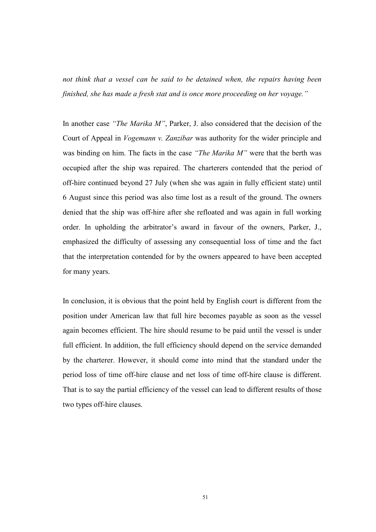not think that a vessel can be said to be detained when, the repairs having been finished, she has made a fresh stat and is once more proceeding on her voyage."

In another case "The Marika M", Parker, J. also considered that the decision of the Court of Appeal in Vogemann v. Zanzibar was authority for the wider principle and was binding on him. The facts in the case "The Marika M" were that the berth was occupied after the ship was repaired. The charterers contended that the period of off-hire continued beyond 27 July (when she was again in fully efficient state) until 6 August since this period was also time lost as a result of the ground. The owners denied that the ship was off-hire after she refloated and was again in full working order. In upholding the arbitrator's award in favour of the owners, Parker, J., emphasized the difficulty of assessing any consequential loss of time and the fact that the interpretation contended for by the owners appeared to have been accepted for many years.

In conclusion, it is obvious that the point held by English court is different from the position under American law that full hire becomes payable as soon as the vessel again becomes efficient. The hire should resume to be paid until the vessel is under full efficient. In addition, the full efficiency should depend on the service demanded by the charterer. However, it should come into mind that the standard under the period loss of time off-hire clause and net loss of time off-hire clause is different. That is to say the partial efficiency of the vessel can lead to different results of those two types off-hire clauses.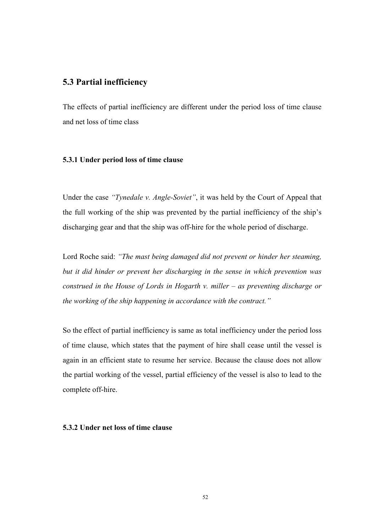# 5.3 Partial inefficiency

The effects of partial inefficiency are different under the period loss of time clause and net loss of time class

#### 5.3.1 Under period loss of time clause

Under the case "Tynedale v. Angle-Soviet", it was held by the Court of Appeal that the full working of the ship was prevented by the partial inefficiency of the ship's discharging gear and that the ship was off-hire for the whole period of discharge.

Lord Roche said: "The mast being damaged did not prevent or hinder her steaming, but it did hinder or prevent her discharging in the sense in which prevention was construed in the House of Lords in Hogarth v. miller – as preventing discharge or the working of the ship happening in accordance with the contract."

So the effect of partial inefficiency is same as total inefficiency under the period loss of time clause, which states that the payment of hire shall cease until the vessel is again in an efficient state to resume her service. Because the clause does not allow the partial working of the vessel, partial efficiency of the vessel is also to lead to the complete off-hire.

#### 5.3.2 Under net loss of time clause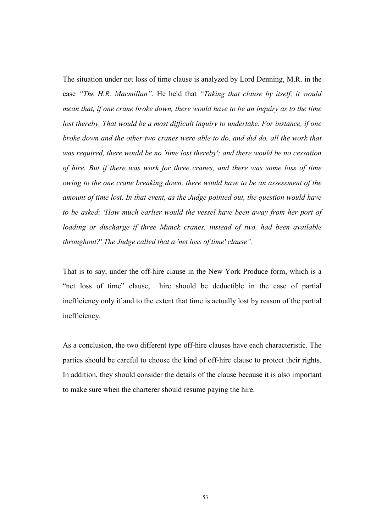The situation under net loss of time clause is analyzed by Lord Denning, M.R. in the case "The H.R. Macmillan". He held that "Taking that clause by itself, it would mean that, if one crane broke down, there would have to be an inquiry as to the time lost thereby. That would be a most difficult inquiry to undertake. For instance, if one broke down and the other two cranes were able to do, and did do, all the work that was required, there would be no 'time lost thereby'; and there would be no cessation of hire. But if there was work for three cranes, and there was some loss of time owing to the one crane breaking down, there would have to be an assessment of the amount of time lost. In that event, as the Judge pointed out, the question would have to be asked: 'How much earlier would the vessel have been away from her port of loading or discharge if three Munck cranes, instead of two, had been available throughout?' The Judge called that a 'net loss of time' clause".

That is to say, under the off-hire clause in the New York Produce form, which is a "net loss of time" clause, hire should be deductible in the case of partial inefficiency only if and to the extent that time is actually lost by reason of the partial inefficiency.

As a conclusion, the two different type off-hire clauses have each characteristic. The parties should be careful to choose the kind of off-hire clause to protect their rights. In addition, they should consider the details of the clause because it is also important to make sure when the charterer should resume paying the hire.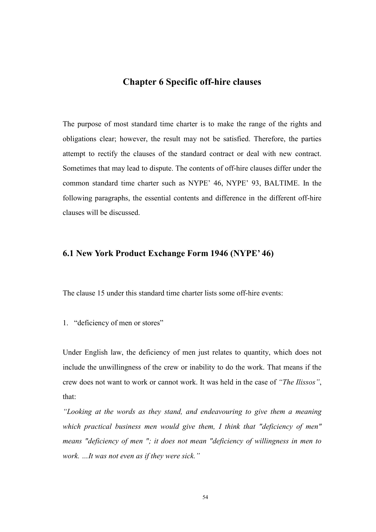# Chapter 6 Specific off-hire clauses

The purpose of most standard time charter is to make the range of the rights and obligations clear; however, the result may not be satisfied. Therefore, the parties attempt to rectify the clauses of the standard contract or deal with new contract. Sometimes that may lead to dispute. The contents of off-hire clauses differ under the common standard time charter such as NYPE' 46, NYPE' 93, BALTIME. In the following paragraphs, the essential contents and difference in the different off-hire clauses will be discussed.

## 6.1 New York Product Exchange Form 1946 (NYPE' 46)

The clause 15 under this standard time charter lists some off-hire events:

1. "deficiency of men or stores"

Under English law, the deficiency of men just relates to quantity, which does not include the unwillingness of the crew or inability to do the work. That means if the crew does not want to work or cannot work. It was held in the case of "The Ilissos", that:

"Looking at the words as they stand, and endeavouring to give them a meaning which practical business men would give them, I think that "deficiency of men" means "deficiency of men "; it does not mean "deficiency of willingness in men to work. …It was not even as if they were sick."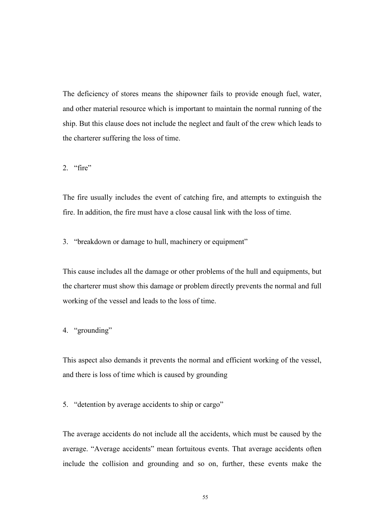The deficiency of stores means the shipowner fails to provide enough fuel, water, and other material resource which is important to maintain the normal running of the ship. But this clause does not include the neglect and fault of the crew which leads to the charterer suffering the loss of time.

2.  $"fire"$ 

The fire usually includes the event of catching fire, and attempts to extinguish the fire. In addition, the fire must have a close causal link with the loss of time.

3. "breakdown or damage to hull, machinery or equipment"

This cause includes all the damage or other problems of the hull and equipments, but the charterer must show this damage or problem directly prevents the normal and full working of the vessel and leads to the loss of time.

4. "grounding"

This aspect also demands it prevents the normal and efficient working of the vessel, and there is loss of time which is caused by grounding

5. "detention by average accidents to ship or cargo"

The average accidents do not include all the accidents, which must be caused by the average. "Average accidents" mean fortuitous events. That average accidents often include the collision and grounding and so on, further, these events make the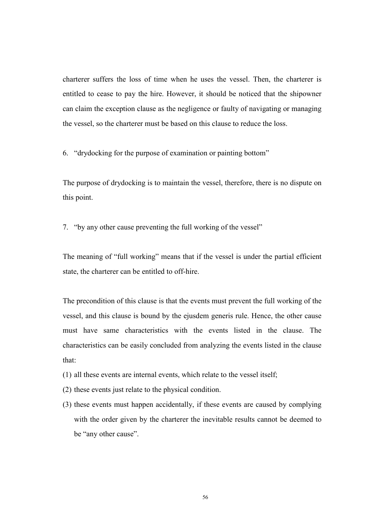charterer suffers the loss of time when he uses the vessel. Then, the charterer is entitled to cease to pay the hire. However, it should be noticed that the shipowner can claim the exception clause as the negligence or faulty of navigating or managing the vessel, so the charterer must be based on this clause to reduce the loss.

6. "drydocking for the purpose of examination or painting bottom"

The purpose of drydocking is to maintain the vessel, therefore, there is no dispute on this point.

7. "by any other cause preventing the full working of the vessel"

The meaning of "full working" means that if the vessel is under the partial efficient state, the charterer can be entitled to off-hire.

The precondition of this clause is that the events must prevent the full working of the vessel, and this clause is bound by the ejusdem generis rule. Hence, the other cause must have same characteristics with the events listed in the clause. The characteristics can be easily concluded from analyzing the events listed in the clause that:

- (1) all these events are internal events, which relate to the vessel itself;
- (2) these events just relate to the physical condition.
- (3) these events must happen accidentally, if these events are caused by complying with the order given by the charterer the inevitable results cannot be deemed to be "any other cause".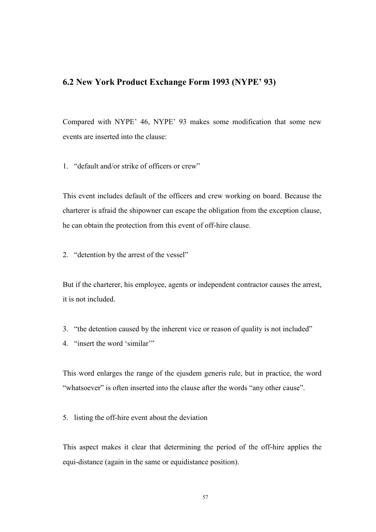# 6.2 New York Product Exchange Form 1993 (NYPE' 93)

Compared with NYPE' 46, NYPE' 93 makes some modification that some new events are inserted into the clause:

1. "default and/or strike of officers or crew"

This event includes default of the officers and crew working on board. Because the charterer is afraid the shipowner can escape the obligation from the exception clause, he can obtain the protection from this event of off-hire clause.

2. "detention by the arrest of the vessel"

But if the charterer, his employee, agents or independent contractor causes the arrest, it is not included.

- 3. "the detention caused by the inherent vice or reason of quality is not included"
- 4. "insert the word 'similar'"

This word enlarges the range of the ejusdem generis rule, but in practice, the word "whatsoever" is often inserted into the clause after the words "any other cause".

5. listing the off-hire event about the deviation

This aspect makes it clear that determining the period of the off-hire applies the equi-distance (again in the same or equidistance position).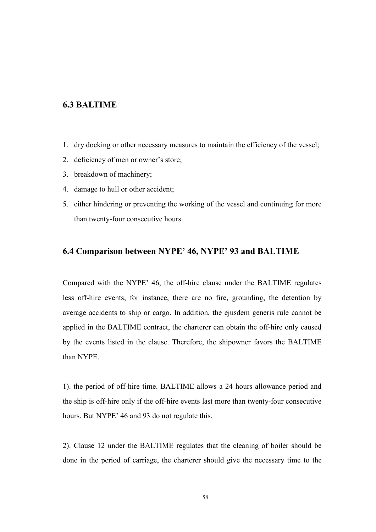# 6.3 BALTIME

- 1. dry docking or other necessary measures to maintain the efficiency of the vessel;
- 2. deficiency of men or owner's store;
- 3. breakdown of machinery;
- 4. damage to hull or other accident;
- 5. either hindering or preventing the working of the vessel and continuing for more than twenty-four consecutive hours.

## 6.4 Comparison between NYPE' 46, NYPE' 93 and BALTIME

Compared with the NYPE' 46, the off-hire clause under the BALTIME regulates less off-hire events, for instance, there are no fire, grounding, the detention by average accidents to ship or cargo. In addition, the ejusdem generis rule cannot be applied in the BALTIME contract, the charterer can obtain the off-hire only caused by the events listed in the clause. Therefore, the shipowner favors the BALTIME than NYPE.

1). the period of off-hire time. BALTIME allows a 24 hours allowance period and the ship is off-hire only if the off-hire events last more than twenty-four consecutive hours. But NYPE' 46 and 93 do not regulate this.

2). Clause 12 under the BALTIME regulates that the cleaning of boiler should be done in the period of carriage, the charterer should give the necessary time to the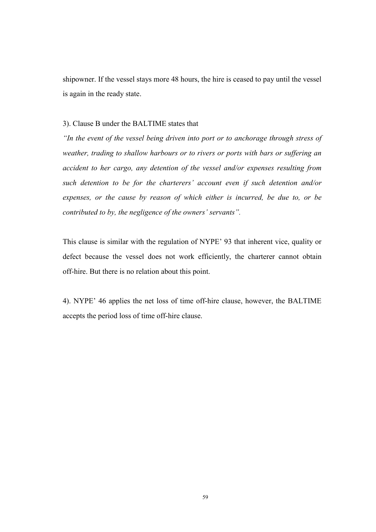shipowner. If the vessel stays more 48 hours, the hire is ceased to pay until the vessel is again in the ready state.

#### 3). Clause B under the BALTIME states that

"In the event of the vessel being driven into port or to anchorage through stress of weather, trading to shallow harbours or to rivers or ports with bars or suffering an accident to her cargo, any detention of the vessel and/or expenses resulting from such detention to be for the charterers' account even if such detention and/or expenses, or the cause by reason of which either is incurred, be due to, or be contributed to by, the negligence of the owners' servants".

This clause is similar with the regulation of NYPE' 93 that inherent vice, quality or defect because the vessel does not work efficiently, the charterer cannot obtain off-hire. But there is no relation about this point.

4). NYPE' 46 applies the net loss of time off-hire clause, however, the BALTIME accepts the period loss of time off-hire clause.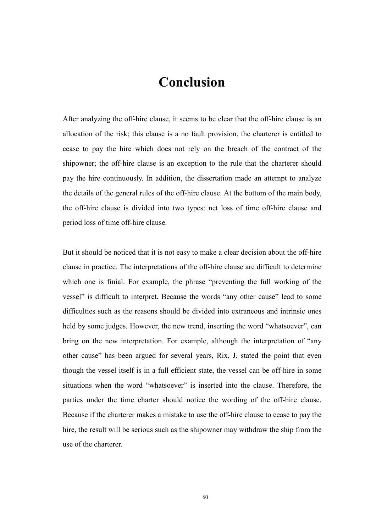# Conclusion

After analyzing the off-hire clause, it seems to be clear that the off-hire clause is an allocation of the risk; this clause is a no fault provision, the charterer is entitled to cease to pay the hire which does not rely on the breach of the contract of the shipowner; the off-hire clause is an exception to the rule that the charterer should pay the hire continuously. In addition, the dissertation made an attempt to analyze the details of the general rules of the off-hire clause. At the bottom of the main body, the off-hire clause is divided into two types: net loss of time off-hire clause and period loss of time off-hire clause.

But it should be noticed that it is not easy to make a clear decision about the off-hire clause in practice. The interpretations of the off-hire clause are difficult to determine which one is finial. For example, the phrase "preventing the full working of the vessel" is difficult to interpret. Because the words "any other cause" lead to some difficulties such as the reasons should be divided into extraneous and intrinsic ones held by some judges. However, the new trend, inserting the word "whatsoever", can bring on the new interpretation. For example, although the interpretation of "any other cause" has been argued for several years, Rix, J. stated the point that even though the vessel itself is in a full efficient state, the vessel can be off-hire in some situations when the word "whatsoever" is inserted into the clause. Therefore, the parties under the time charter should notice the wording of the off-hire clause. Because if the charterer makes a mistake to use the off-hire clause to cease to pay the hire, the result will be serious such as the shipowner may withdraw the ship from the use of the charterer.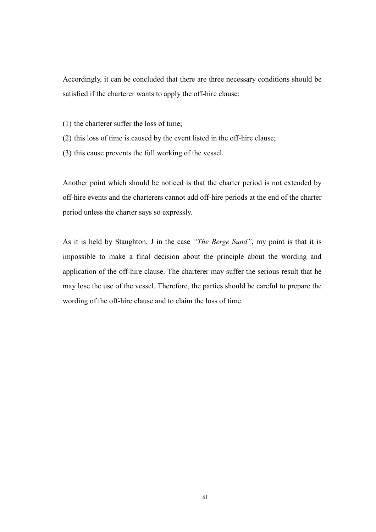Accordingly, it can be concluded that there are three necessary conditions should be satisfied if the charterer wants to apply the off-hire clause:

- (1) the charterer suffer the loss of time;
- (2) this loss of time is caused by the event listed in the off-hire clause;
- (3) this cause prevents the full working of the vessel.

Another point which should be noticed is that the charter period is not extended by off-hire events and the charterers cannot add off-hire periods at the end of the charter period unless the charter says so expressly.

As it is held by Staughton, J in the case "The Berge Sund", my point is that it is impossible to make a final decision about the principle about the wording and application of the off-hire clause. The charterer may suffer the serious result that he may lose the use of the vessel. Therefore, the parties should be careful to prepare the wording of the off-hire clause and to claim the loss of time.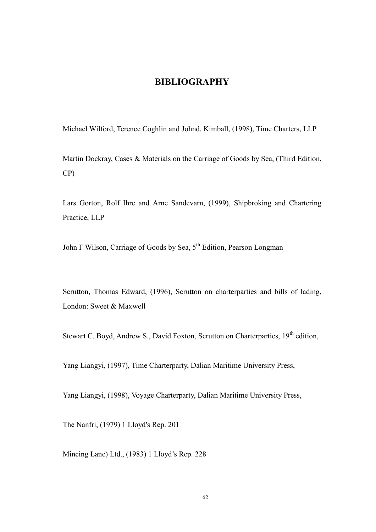## BIBLIOGRAPHY

Michael Wilford, Terence Coghlin and Johnd. Kimball, (1998), Time Charters, LLP

Martin Dockray, Cases & Materials on the Carriage of Goods by Sea, (Third Edition, CP)

Lars Gorton, Rolf Ihre and Arne Sandevarn, (1999), Shipbroking and Chartering Practice, LLP

John F Wilson, Carriage of Goods by Sea, 5<sup>th</sup> Edition, Pearson Longman

Scrutton, Thomas Edward, (1996), Scrutton on charterparties and bills of lading, London: Sweet & Maxwell

Stewart C. Boyd, Andrew S., David Foxton, Scrutton on Charterparties, 19<sup>th</sup> edition,

Yang Liangyi, (1997), Time Charterparty, Dalian Maritime University Press,

Yang Liangyi, (1998), Voyage Charterparty, Dalian Maritime University Press,

The Nanfri, (1979) 1 Lloyd's Rep. 201

Mincing Lane) Ltd., (1983) 1 Lloyd's Rep. 228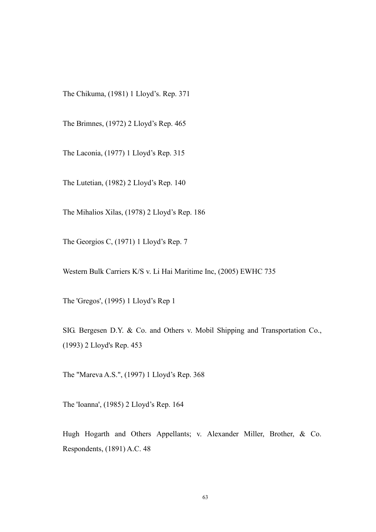The Chikuma, (1981) 1 Lloyd's. Rep. 371

The Brimnes, (1972) 2 Lloyd's Rep. 465

The Laconia, (1977) 1 Lloyd's Rep. 315

The Lutetian, (1982) 2 Lloyd's Rep. 140

The Mihalios Xilas, (1978) 2 Lloyd's Rep. 186

The Georgios C, (1971) 1 Lloyd's Rep. 7

Western Bulk Carriers K/S v. Li Hai Maritime Inc, (2005) EWHC 735

The 'Gregos', (1995) 1 Lloyd's Rep 1

SIG. Bergesen D.Y. & Co. and Others v. Mobil Shipping and Transportation Co., (1993) 2 Lloyd's Rep. 453

The "Mareva A.S.", (1997) 1 Lloyd's Rep. 368

The 'Ioanna', (1985) 2 Lloyd's Rep. 164

Hugh Hogarth and Others Appellants; v. Alexander Miller, Brother, & Co. Respondents, (1891) A.C. 48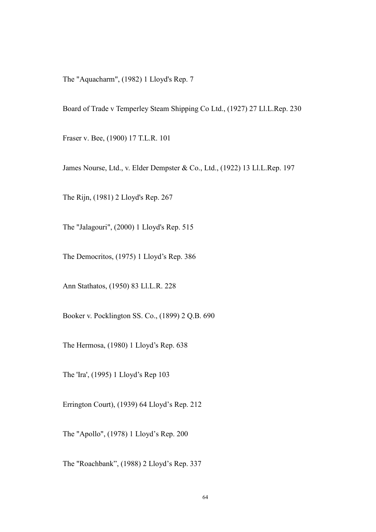The "Aquacharm", (1982) 1 Lloyd's Rep. 7

Board of Trade v Temperley Steam Shipping Co Ltd., (1927) 27 Ll.L.Rep. 230

Fraser v. Bee, (1900) 17 T.L.R. 101

James Nourse, Ltd., v. Elder Dempster & Co., Ltd., (1922) 13 Ll.L.Rep. 197

The Rijn, (1981) 2 Lloyd's Rep. 267

The "Jalagouri", (2000) 1 Lloyd's Rep. 515

The Democritos, (1975) 1 Lloyd's Rep. 386

Ann Stathatos, (1950) 83 Ll.L.R. 228

Booker v. Pocklington SS. Co., (1899) 2 Q.B. 690

The Hermosa, (1980) 1 Lloyd's Rep. 638

The 'Ira', (1995) 1 Lloyd's Rep 103

Errington Court), (1939) 64 Lloyd's Rep. 212

The "Apollo", (1978) 1 Lloyd's Rep. 200

The "Roachbank", (1988) 2 Lloyd's Rep. 337